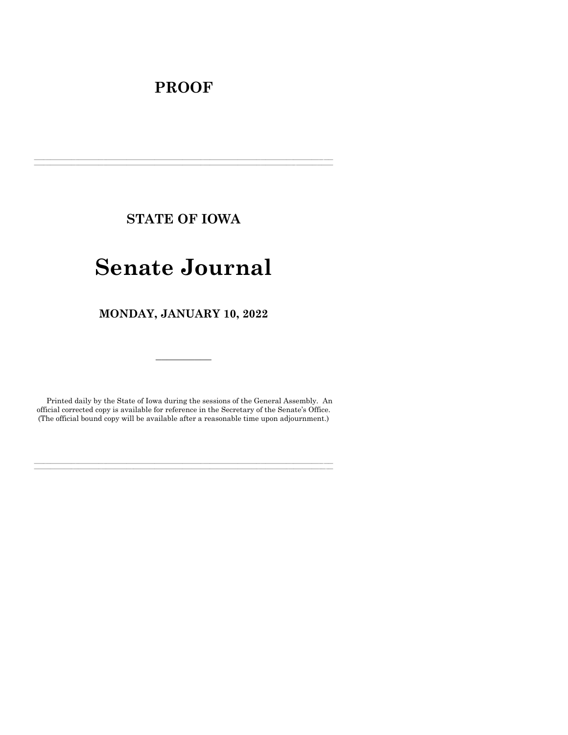## **PROOF**

**STATE OF IOWA**

**\_\_\_\_\_\_\_\_\_\_\_\_\_\_\_\_\_\_\_\_\_\_\_\_\_\_\_\_\_\_\_\_\_\_\_\_\_\_\_\_\_\_\_\_\_\_\_\_\_\_\_\_\_\_\_\_\_\_\_\_\_\_\_\_\_\_\_\_\_\_\_\_\_\_\_\_\_\_\_\_\_\_\_\_\_\_\_\_\_\_\_\_\_\_\_\_\_\_\_\_\_\_\_\_\_\_\_\_\_\_\_\_\_\_\_\_\_\_\_\_\_\_\_\_\_\_\_\_\_ \_\_\_\_\_\_\_\_\_\_\_\_\_\_\_\_\_\_\_\_\_\_\_\_\_\_\_\_\_\_\_\_\_\_\_\_\_\_\_\_\_\_\_\_\_\_\_\_\_\_\_\_\_\_\_\_\_\_\_\_\_\_\_\_\_\_\_\_\_\_\_\_\_\_\_\_\_\_\_\_\_\_\_\_\_\_\_\_\_\_\_\_\_\_\_\_\_\_\_\_\_\_\_\_\_\_\_\_\_\_\_\_\_\_\_\_\_\_\_\_\_\_\_\_\_\_\_\_\_**

# **Senate Journal**

**MONDAY, JANUARY 10, 2022**

Printed daily by the State of Iowa during the sessions of the General Assembly. An official corrected copy is available for reference in the Secretary of the Senate's Office. (The official bound copy will be available after a reasonable time upon adjournment.)

**\_\_\_\_\_\_\_\_\_\_\_\_\_\_\_\_\_\_\_\_\_\_\_\_\_\_\_\_\_\_\_\_\_\_\_\_\_\_\_\_\_\_\_\_\_\_\_\_\_\_\_\_\_\_\_\_\_\_\_\_\_\_\_\_\_\_\_\_\_\_\_\_\_\_\_\_\_\_\_\_\_\_\_\_\_\_\_\_\_\_\_\_\_\_\_\_\_\_\_\_\_\_\_\_\_\_\_\_\_\_\_\_\_\_\_\_\_\_\_\_\_\_\_\_\_\_\_\_\_ \_\_\_\_\_\_\_\_\_\_\_\_\_\_\_\_\_\_\_\_\_\_\_\_\_\_\_\_\_\_\_\_\_\_\_\_\_\_\_\_\_\_\_\_\_\_\_\_\_\_\_\_\_\_\_\_\_\_\_\_\_\_\_\_\_\_\_\_\_\_\_\_\_\_\_\_\_\_\_\_\_\_\_\_\_\_\_\_\_\_\_\_\_\_\_\_\_\_\_\_\_\_\_\_\_\_\_\_\_\_\_\_\_\_\_\_\_\_\_\_\_\_\_\_\_\_\_\_\_**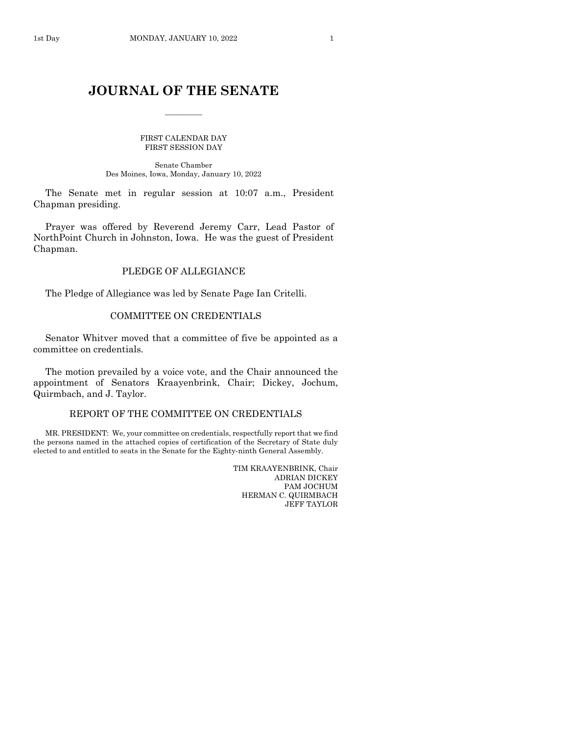$\frac{1}{2}$ 

FIRST CALENDAR DAY FIRST SESSION DAY

Senate Chamber Des Moines, Iowa, Monday, January 10, 2022

The Senate met in regular session at 10:07 a.m., President Chapman presiding.

Prayer was offered by Reverend Jeremy Carr, Lead Pastor of NorthPoint Church in Johnston, Iowa. He was the guest of President Chapman.

## PLEDGE OF ALLEGIANCE

The Pledge of Allegiance was led by Senate Page Ian Critelli.

## COMMITTEE ON CREDENTIALS

Senator Whitver moved that a committee of five be appointed as a committee on credentials.

The motion prevailed by a voice vote, and the Chair announced the appointment of Senators Kraayenbrink, Chair; Dickey, Jochum, Quirmbach, and J. Taylor.

## REPORT OF THE COMMITTEE ON CREDENTIALS

MR. PRESIDENT: We, your committee on credentials, respectfully report that we find the persons named in the attached copies of certification of the Secretary of State duly elected to and entitled to seats in the Senate for the Eighty-ninth General Assembly.

> TIM KRAAYENBRINK, Chair ADRIAN DICKEY PAM JOCHUM HERMAN C. QUIRMBACH JEFF TAYLOR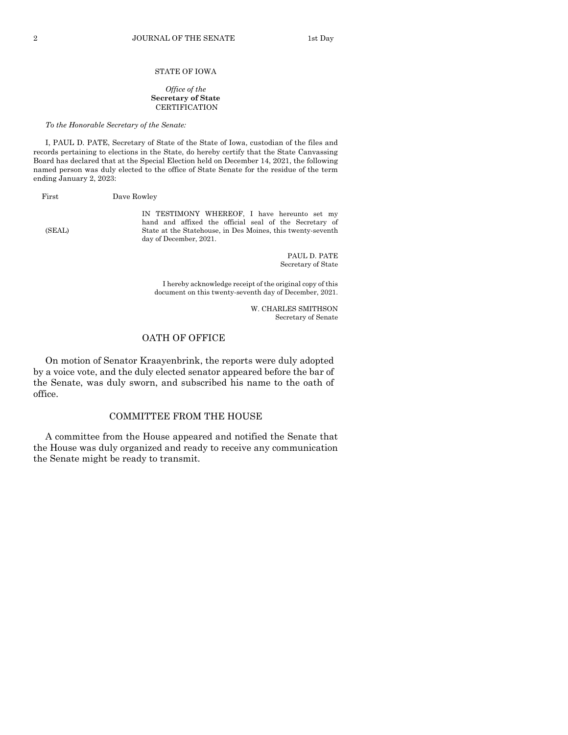#### STATE OF IOWA

#### *Office of the* **Secretary of State CERTIFICATION**

*To the Honorable Secretary of the Senate:*

I, PAUL D. PATE, Secretary of State of the State of Iowa, custodian of the files and records pertaining to elections in the State, do hereby certify that the State Canvassing Board has declared that at the Special Election held on December 14, 2021, the following named person was duly elected to the office of State Senate for the residue of the term ending January 2, 2023:

First Dave Rowley

IN TESTIMONY WHEREOF, I have hereunto set my hand and affixed the official seal of the Secretary of (SEAL) State at the Statehouse, in Des Moines, this twenty-seventh day of December, 2021.

> PAUL D. PATE Secretary of State

I hereby acknowledge receipt of the original copy of this document on this twenty-seventh day of December, 2021.

> W. CHARLES SMITHSON Secretary of Senate

## OATH OF OFFICE

On motion of Senator Kraayenbrink, the reports were duly adopted by a voice vote, and the duly elected senator appeared before the bar of the Senate, was duly sworn, and subscribed his name to the oath of office.

## COMMITTEE FROM THE HOUSE

A committee from the House appeared and notified the Senate that the House was duly organized and ready to receive any communication the Senate might be ready to transmit.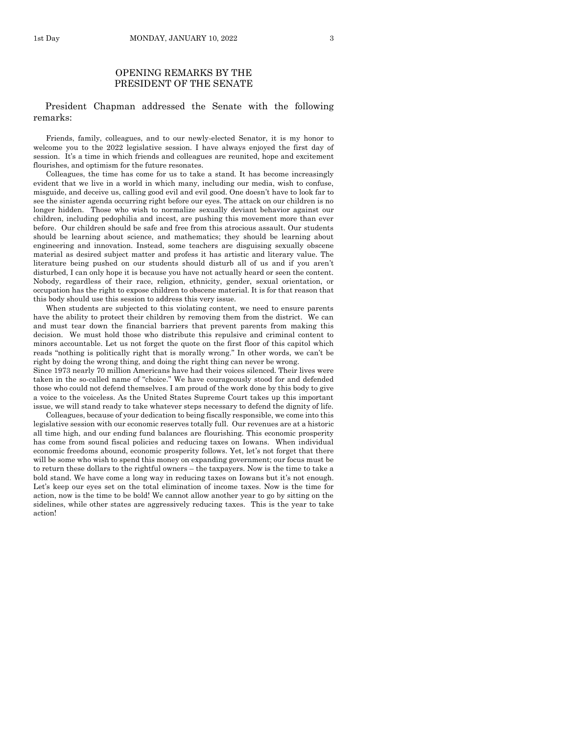## OPENING REMARKS BY THE PRESIDENT OF THE SENATE

## President Chapman addressed the Senate with the following remarks:

Friends, family, colleagues, and to our newly-elected Senator, it is my honor to welcome you to the 2022 legislative session. I have always enjoyed the first day of session. It's a time in which friends and colleagues are reunited, hope and excitement flourishes, and optimism for the future resonates.

Colleagues, the time has come for us to take a stand. It has become increasingly evident that we live in a world in which many, including our media, wish to confuse, misguide, and deceive us, calling good evil and evil good. One doesn't have to look far to see the sinister agenda occurring right before our eyes. The attack on our children is no longer hidden. Those who wish to normalize sexually deviant behavior against our children, including pedophilia and incest, are pushing this movement more than ever before. Our children should be safe and free from this atrocious assault. Our students should be learning about science, and mathematics; they should be learning about engineering and innovation. Instead, some teachers are disguising sexually obscene material as desired subject matter and profess it has artistic and literary value. The literature being pushed on our students should disturb all of us and if you aren't disturbed, I can only hope it is because you have not actually heard or seen the content. Nobody, regardless of their race, religion, ethnicity, gender, sexual orientation, or occupation has the right to expose children to obscene material. It is for that reason that this body should use this session to address this very issue.

When students are subjected to this violating content, we need to ensure parents have the ability to protect their children by removing them from the district. We can and must tear down the financial barriers that prevent parents from making this decision. We must hold those who distribute this repulsive and criminal content to minors accountable. Let us not forget the quote on the first floor of this capitol which reads "nothing is politically right that is morally wrong." In other words, we can't be right by doing the wrong thing, and doing the right thing can never be wrong.

Since 1973 nearly 70 million Americans have had their voices silenced. Their lives were taken in the so-called name of "choice." We have courageously stood for and defended those who could not defend themselves. I am proud of the work done by this body to give a voice to the voiceless. As the United States Supreme Court takes up this important issue, we will stand ready to take whatever steps necessary to defend the dignity of life.

Colleagues, because of your dedication to being fiscally responsible, we come into this legislative session with our economic reserves totally full. Our revenues are at a historic all time high, and our ending fund balances are flourishing. This economic prosperity has come from sound fiscal policies and reducing taxes on Iowans. When individual economic freedoms abound, economic prosperity follows. Yet, let's not forget that there will be some who wish to spend this money on expanding government; our focus must be to return these dollars to the rightful owners – the taxpayers. Now is the time to take a bold stand. We have come a long way in reducing taxes on Iowans but it's not enough. Let's keep our eyes set on the total elimination of income taxes. Now is the time for action, now is the time to be bold! We cannot allow another year to go by sitting on the sidelines, while other states are aggressively reducing taxes. This is the year to take action!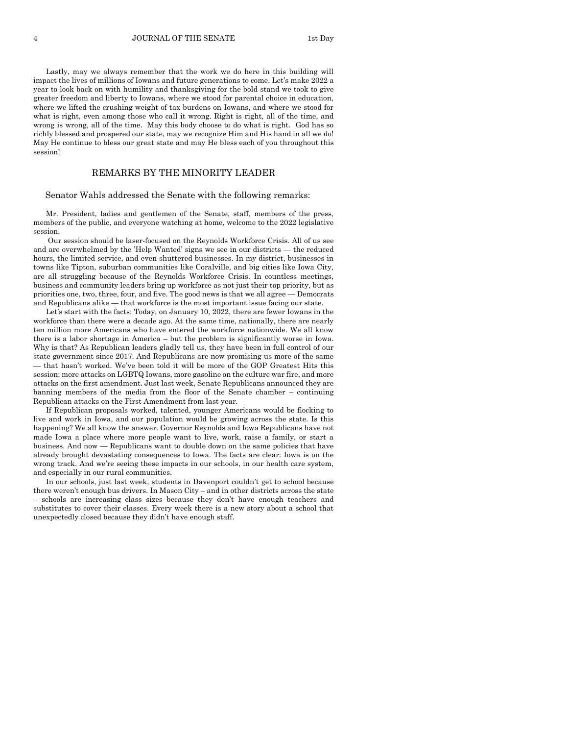4 JOURNAL OF THE SENATE 1st Day

Lastly, may we always remember that the work we do here in this building will impact the lives of millions of Iowans and future generations to come. Let's make 2022 a year to look back on with humility and thanksgiving for the bold stand we took to give greater freedom and liberty to Iowans, where we stood for parental choice in education, where we lifted the crushing weight of tax burdens on Iowans, and where we stood for what is right, even among those who call it wrong. Right is right, all of the time, and wrong is wrong, all of the time. May this body choose to do what is right. God has so richly blessed and prospered our state, may we recognize Him and His hand in all we do! May He continue to bless our great state and may He bless each of you throughout this session!

## REMARKS BY THE MINORITY LEADER

#### Senator Wahls addressed the Senate with the following remarks:

Mr. President, ladies and gentlemen of the Senate, staff, members of the press, members of the public, and everyone watching at home, welcome to the 2022 legislative session.

Our session should be laser-focused on the Reynolds Workforce Crisis. All of us see and are overwhelmed by the 'Help Wanted' signs we see in our districts — the reduced hours, the limited service, and even shuttered businesses. In my district, businesses in towns like Tipton, suburban communities like Coralville, and big cities like Iowa City, are all struggling because of the Reynolds Workforce Crisis. In countless meetings, business and community leaders bring up workforce as not just their top priority, but as priorities one, two, three, four, and five. The good news is that we all agree — Democrats and Republicans alike — that workforce is the most important issue facing our state.

Let's start with the facts: Today, on January 10, 2022, there are fewer Iowans in the workforce than there were a decade ago. At the same time, nationally, there are nearly ten million more Americans who have entered the workforce nationwide. We all know there is a labor shortage in America – but the problem is significantly worse in Iowa. Why is that? As Republican leaders gladly tell us, they have been in full control of our state government since 2017. And Republicans are now promising us more of the same — that hasn't worked. We've been told it will be more of the GOP Greatest Hits this session: more attacks on LGBTQ Iowans, more gasoline on the culture war fire, and more attacks on the first amendment. Just last week, Senate Republicans announced they are banning members of the media from the floor of the Senate chamber – continuing Republican attacks on the First Amendment from last year.

If Republican proposals worked, talented, younger Americans would be flocking to live and work in Iowa, and our population would be growing across the state. Is this happening? We all know the answer. Governor Reynolds and Iowa Republicans have not made Iowa a place where more people want to live, work, raise a family, or start a business. And now — Republicans want to double down on the same policies that have already brought devastating consequences to Iowa. The facts are clear: Iowa is on the wrong track. And we're seeing these impacts in our schools, in our health care system, and especially in our rural communities.

In our schools, just last week, students in Davenport couldn't get to school because there weren't enough bus drivers. In Mason City – and in other districts across the state – schools are increasing class sizes because they don't have enough teachers and substitutes to cover their classes. Every week there is a new story about a school that unexpectedly closed because they didn't have enough staff.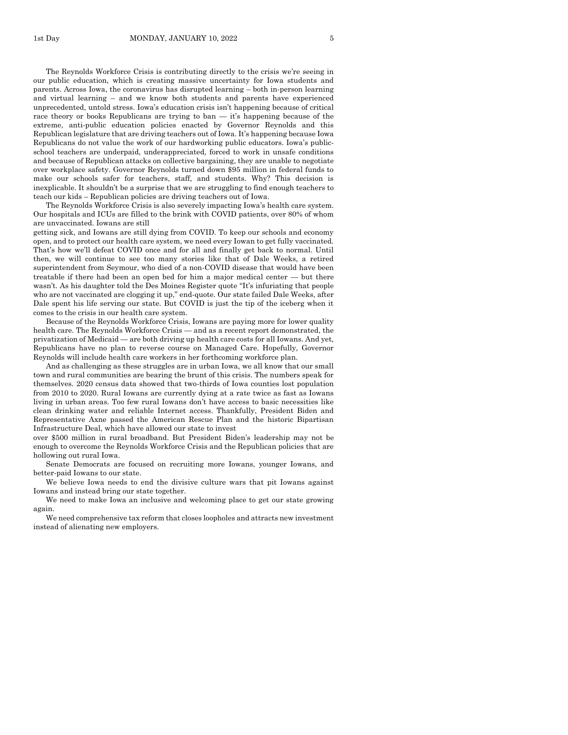The Reynolds Workforce Crisis is contributing directly to the crisis we're seeing in our public education, which is creating massive uncertainty for Iowa students and parents. Across Iowa, the coronavirus has disrupted learning – both in-person learning and virtual learning – and we know both students and parents have experienced unprecedented, untold stress. Iowa's education crisis isn't happening because of critical race theory or books Republicans are trying to ban — it's happening because of the extreme, anti-public education policies enacted by Governor Reynolds and this Republican legislature that are driving teachers out of Iowa. It's happening because Iowa Republicans do not value the work of our hardworking public educators. Iowa's publicschool teachers are underpaid, underappreciated, forced to work in unsafe conditions and because of Republican attacks on collective bargaining, they are unable to negotiate over workplace safety. Governor Reynolds turned down \$95 million in federal funds to make our schools safer for teachers, staff, and students. Why? This decision is inexplicable. It shouldn't be a surprise that we are struggling to find enough teachers to teach our kids – Republican policies are driving teachers out of Iowa.

The Reynolds Workforce Crisis is also severely impacting Iowa's health care system. Our hospitals and ICUs are filled to the brink with COVID patients, over 80% of whom are unvaccinated. Iowans are still

getting sick, and Iowans are still dying from COVID. To keep our schools and economy open, and to protect our health care system, we need every Iowan to get fully vaccinated. That's how we'll defeat COVID once and for all and finally get back to normal. Until then, we will continue to see too many stories like that of Dale Weeks, a retired superintendent from Seymour, who died of a non-COVID disease that would have been treatable if there had been an open bed for him a major medical center  $-$  but there wasn't. As his daughter told the Des Moines Register quote "It's infuriating that people who are not vaccinated are clogging it up," end-quote. Our state failed Dale Weeks, after Dale spent his life serving our state. But COVID is just the tip of the iceberg when it comes to the crisis in our health care system.

Because of the Reynolds Workforce Crisis, Iowans are paying more for lower quality health care. The Reynolds Workforce Crisis — and as a recent report demonstrated, the privatization of Medicaid — are both driving up health care costs for all Iowans. And yet, Republicans have no plan to reverse course on Managed Care. Hopefully, Governor Reynolds will include health care workers in her forthcoming workforce plan.

And as challenging as these struggles are in urban Iowa, we all know that our small town and rural communities are bearing the brunt of this crisis. The numbers speak for themselves. 2020 census data showed that two-thirds of Iowa counties lost population from 2010 to 2020. Rural Iowans are currently dying at a rate twice as fast as Iowans living in urban areas. Too few rural Iowans don't have access to basic necessities like clean drinking water and reliable Internet access. Thankfully, President Biden and Representative Axne passed the American Rescue Plan and the historic Bipartisan Infrastructure Deal, which have allowed our state to invest

over \$500 million in rural broadband. But President Biden's leadership may not be enough to overcome the Reynolds Workforce Crisis and the Republican policies that are hollowing out rural Iowa.

Senate Democrats are focused on recruiting more Iowans, younger Iowans, and better-paid Iowans to our state.

We believe Iowa needs to end the divisive culture wars that pit Iowans against Iowans and instead bring our state together.

We need to make Iowa an inclusive and welcoming place to get our state growing again.

We need comprehensive tax reform that closes loopholes and attracts new investment instead of alienating new employers.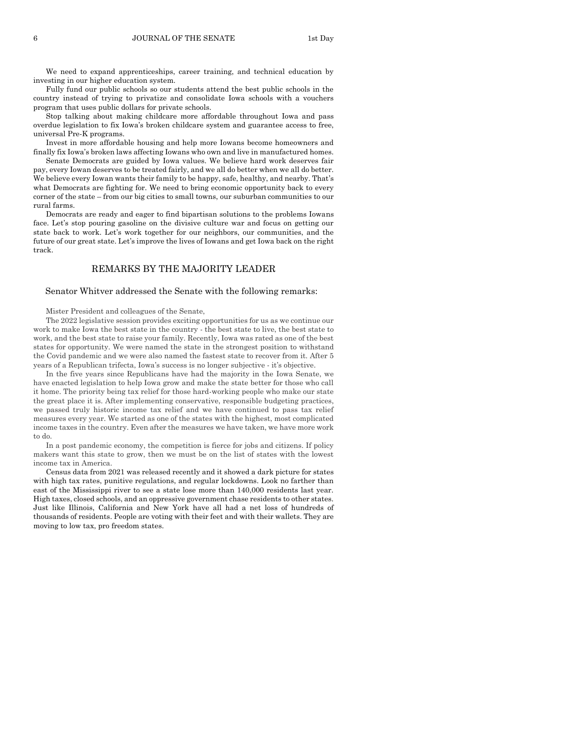We need to expand apprenticeships, career training, and technical education by investing in our higher education system.

Fully fund our public schools so our students attend the best public schools in the country instead of trying to privatize and consolidate Iowa schools with a vouchers program that uses public dollars for private schools.

Stop talking about making childcare more affordable throughout Iowa and pass overdue legislation to fix Iowa's broken childcare system and guarantee access to free, universal Pre-K programs.

Invest in more affordable housing and help more Iowans become homeowners and finally fix Iowa's broken laws affecting Iowans who own and live in manufactured homes. Senate Democrats are guided by Iowa values. We believe hard work deserves fair

pay, every Iowan deserves to be treated fairly, and we all do better when we all do better. We believe every Iowan wants their family to be happy, safe, healthy, and nearby. That's what Democrats are fighting for. We need to bring economic opportunity back to every corner of the state – from our big cities to small towns, our suburban communities to our rural farms.

Democrats are ready and eager to find bipartisan solutions to the problems Iowans face. Let's stop pouring gasoline on the divisive culture war and focus on getting our state back to work. Let's work together for our neighbors, our communities, and the future of our great state. Let's improve the lives of Iowans and get Iowa back on the right track.

## REMARKS BY THE MAJORITY LEADER

#### Senator Whitver addressed the Senate with the following remarks:

Mister President and colleagues of the Senate,

The 2022 legislative session provides exciting opportunities for us as we continue our work to make Iowa the best state in the country - the best state to live, the best state to work, and the best state to raise your family. Recently, Iowa was rated as one of the best states for opportunity. We were named the state in the strongest position to withstand the Covid pandemic and we were also named the fastest state to recover from it. After 5 years of a Republican trifecta, Iowa's success is no longer subjective - it's objective.

In the five years since Republicans have had the majority in the Iowa Senate, we have enacted legislation to help Iowa grow and make the state better for those who call it home. The priority being tax relief for those hard-working people who make our state the great place it is. After implementing conservative, responsible budgeting practices, we passed truly historic income tax relief and we have continued to pass tax relief measures every year. We started as one of the states with the highest, most complicated income taxes in the country. Even after the measures we have taken, we have more work to do.

In a post pandemic economy, the competition is fierce for jobs and citizens. If policy makers want this state to grow, then we must be on the list of states with the lowest income tax in America.

Census data from 2021 was released recently and it showed a dark picture for states with high tax rates, punitive regulations, and regular lockdowns. Look no farther than east of the Mississippi river to see a state lose more than 140,000 residents last year. High taxes, closed schools, and an oppressive government chase residents to other states. Just like Illinois, California and New York have all had a net loss of hundreds of thousands of residents. People are voting with their feet and with their wallets. They are moving to low tax, pro freedom states.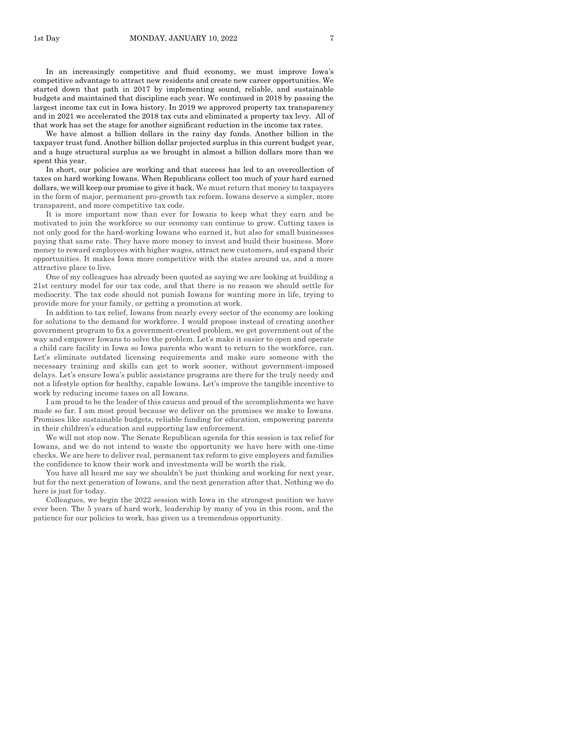In an increasingly competitive and fluid economy, we must improve Iowa's competitive advantage to attract new residents and create new career opportunities. We started down that path in 2017 by implementing sound, reliable, and sustainable budgets and maintained that discipline each year. We continued in 2018 by passing the largest income tax cut in Iowa history. In 2019 we approved property tax transparency and in 2021 we accelerated the 2018 tax cuts and eliminated a property tax levy. All of that work has set the stage for another significant reduction in the income tax rates.

We have almost a billion dollars in the rainy day funds. Another billion in the taxpayer trust fund. Another billion dollar projected surplus in this current budget year, and a huge structural surplus as we brought in almost a billion dollars more than we spent this year.

In short, our policies are working and that success has led to an overcollection of taxes on hard working Iowans. When Republicans collect too much of your hard earned dollars, we will keep our promise to give it back. We must return that money to taxpayers in the form of major, permanent pro-growth tax reform. Iowans deserve a simpler, more transparent, and more competitive tax code.

It is more important now than ever for Iowans to keep what they earn and be motivated to join the workforce so our economy can continue to grow. Cutting taxes is not only good for the hard-working Iowans who earned it, but also for small businesses paying that same rate. They have more money to invest and build their business. More money to reward employees with higher wages, attract new customers, and expand their opportunities. It makes Iowa more competitive with the states around us, and a more attractive place to live.

One of my colleagues has already been quoted as saying we are looking at building a 21st century model for our tax code, and that there is no reason we should settle for mediocrity. The tax code should not punish Iowans for wanting more in life, trying to provide more for your family, or getting a promotion at work.

In addition to tax relief, Iowans from nearly every sector of the economy are looking for solutions to the demand for workforce. I would propose instead of creating another government program to fix a government-created problem, we get government out of the way and empower Iowans to solve the problem. Let's make it easier to open and operate a child care facility in Iowa so Iowa parents who want to return to the workforce, can. Let's eliminate outdated licensing requirements and make sure someone with the necessary training and skills can get to work sooner, without government-imposed delays. Let's ensure Iowa's public assistance programs are there for the truly needy and not a lifestyle option for healthy, capable Iowans. Let's improve the tangible incentive to work by reducing income taxes on all Iowans.

I am proud to be the leader of this caucus and proud of the accomplishments we have made so far. I am most proud because we deliver on the promises we make to Iowans. Promises like sustainable budgets, reliable funding for education, empowering parents in their children's education and supporting law enforcement.

We will not stop now. The Senate Republican agenda for this session is tax relief for Iowans, and we do not intend to waste the opportunity we have here with one-time checks. We are here to deliver real, permanent tax reform to give employers and families the confidence to know their work and investments will be worth the risk.

You have all heard me say we shouldn't be just thinking and working for next year, but for the next generation of Iowans, and the next generation after that. Nothing we do here is just for today.

Colleagues, we begin the 2022 session with Iowa in the strongest position we have ever been. The 5 years of hard work, leadership by many of you in this room, and the patience for our policies to work, has given us a tremendous opportunity.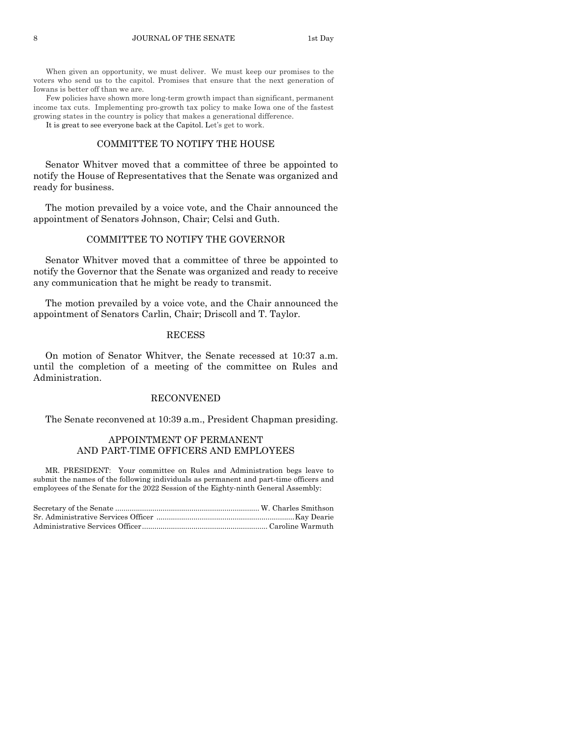When given an opportunity, we must deliver. We must keep our promises to the voters who send us to the capitol. Promises that ensure that the next generation of Iowans is better off than we are.

Few policies have shown more long-term growth impact than significant, permanent income tax cuts. Implementing pro-growth tax policy to make Iowa one of the fastest growing states in the country is policy that makes a generational difference. It is great to see everyone back at the Capitol. Let's get to work.

## COMMITTEE TO NOTIFY THE HOUSE

Senator Whitver moved that a committee of three be appointed to notify the House of Representatives that the Senate was organized and ready for business.

The motion prevailed by a voice vote, and the Chair announced the appointment of Senators Johnson, Chair; Celsi and Guth.

## COMMITTEE TO NOTIFY THE GOVERNOR

Senator Whitver moved that a committee of three be appointed to notify the Governor that the Senate was organized and ready to receive any communication that he might be ready to transmit.

The motion prevailed by a voice vote, and the Chair announced the appointment of Senators Carlin, Chair; Driscoll and T. Taylor.

#### RECESS

On motion of Senator Whitver, the Senate recessed at 10:37 a.m. until the completion of a meeting of the committee on Rules and Administration.

## RECONVENED

The Senate reconvened at 10:39 a.m., President Chapman presiding.

## APPOINTMENT OF PERMANENT AND PART-TIME OFFICERS AND EMPLOYEES

MR. PRESIDENT: Your committee on Rules and Administration begs leave to submit the names of the following individuals as permanent and part-time officers and employees of the Senate for the 2022 Session of the Eighty-ninth General Assembly: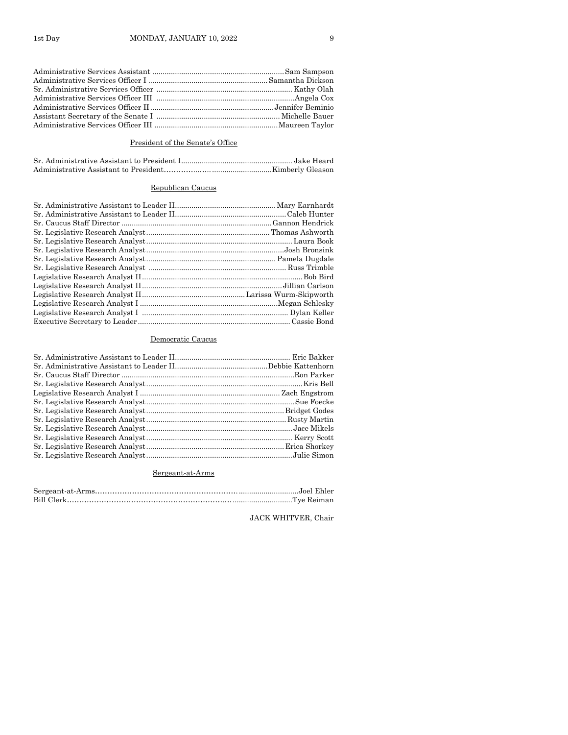## President of the Senate's Office

## Republican Caucus

## Democratic Caucus

## Sergeant-at-Arms

## JACK WHITVER, Chair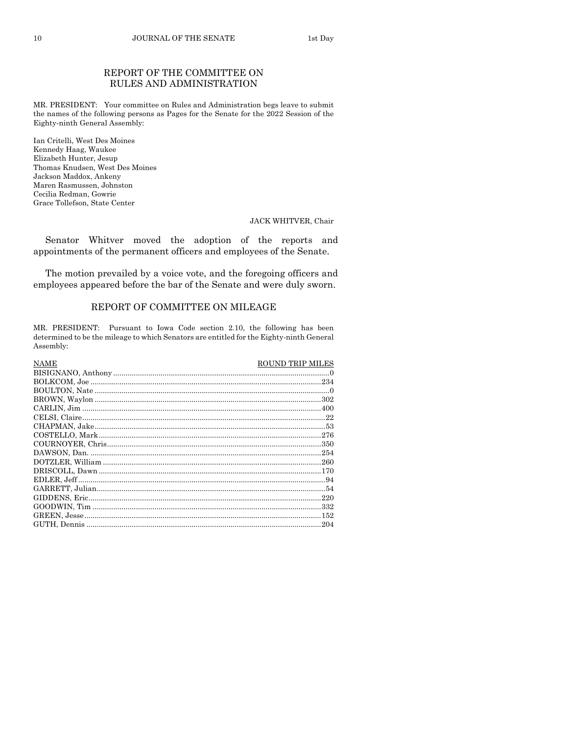## REPORT OF THE COMMITTEE ON RULES AND ADMINISTRATION

MR. PRESIDENT: Your committee on Rules and Administration begs leave to submit the names of the following persons as Pages for the Senate for the 2022 Session of the Eighty-ninth General Assembly:

Ian Critelli, West Des Moines Kennedy Haag, Waukee Elizabeth Hunter, Jesup Thomas Knudsen, West Des Moines Jackson Maddox, Ankeny Maren Rasmussen, Johnston Cecilia Redman, Gowrie Grace Tollefson, State Center

#### JACK WHITVER, Chair

Senator Whitver moved the adoption of the reports and appointments of the permanent officers and employees of the Senate.

The motion prevailed by a voice vote, and the foregoing officers and employees appeared before the bar of the Senate and were duly sworn.

## REPORT OF COMMITTEE ON MILEAGE

MR. PRESIDENT: Pursuant to Iowa Code section 2.10, the following has been determined to be the mileage to which Senators are entitled for the Eighty-ninth General Assembly:

| <b>NAME</b> | <b>ROUND TRIP MILES</b> |
|-------------|-------------------------|
|             |                         |
|             |                         |
|             |                         |
|             |                         |
|             |                         |
|             |                         |
|             |                         |
|             |                         |
|             |                         |
|             |                         |
|             |                         |
|             |                         |
|             |                         |
|             |                         |
|             |                         |
|             |                         |
|             |                         |
|             | .204                    |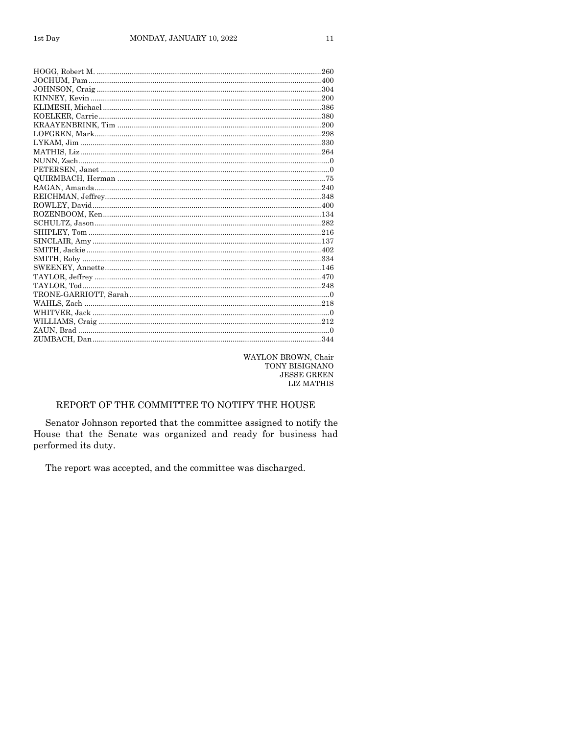| 260 |
|-----|
|     |
|     |
|     |
|     |
|     |
|     |
|     |
|     |
|     |
|     |
|     |
|     |
|     |
|     |
|     |
|     |
|     |
|     |
|     |
|     |
|     |
|     |
|     |
|     |
|     |
|     |
|     |
|     |
|     |
|     |

WAYLON BROWN, Chair TONY BISIGNANO  ${\rm JESSE}$  GREEN LIZ MATHIS

## REPORT OF THE COMMITTEE TO NOTIFY THE HOUSE

Senator Johnson reported that the committee assigned to notify the House that the Senate was organized and ready for business had performed its duty.

The report was accepted, and the committee was discharged.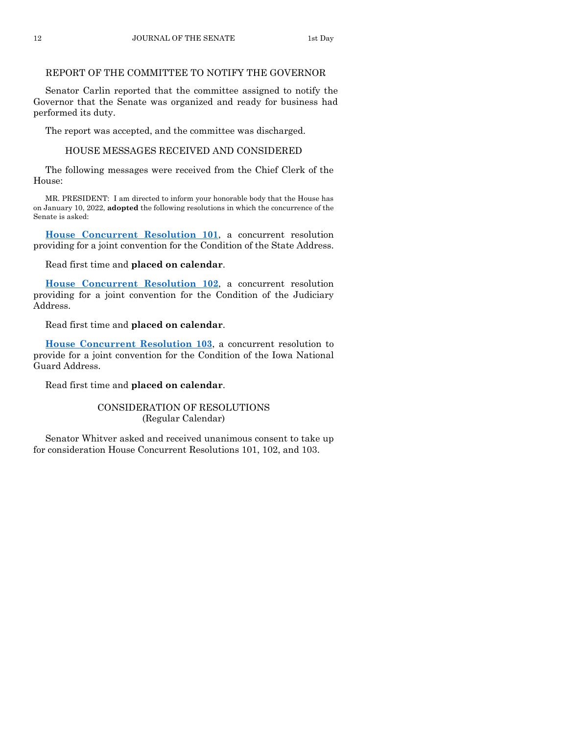## REPORT OF THE COMMITTEE TO NOTIFY THE GOVERNOR

Senator Carlin reported that the committee assigned to notify the Governor that the Senate was organized and ready for business had performed its duty.

The report was accepted, and the committee was discharged.

## HOUSE MESSAGES RECEIVED AND CONSIDERED

The following messages were received from the Chief Clerk of the House:

MR. PRESIDENT: I am directed to inform your honorable body that the House has on January 10, 2022, **adopted** the following resolutions in which the concurrence of the Senate is asked:

**[House Concurrent Resolution 101](https://www.legis.iowa.gov/legislation/BillBook?ga=89&ba=HCR101)**, a concurrent resolution providing for a joint convention for the Condition of the State Address.

Read first time and **placed on calendar**.

**[House Concurrent Resolution 102](https://www.legis.iowa.gov/legislation/BillBook?ga=89&ba=HCR102)**, a concurrent resolution providing for a joint convention for the Condition of the Judiciary Address.

Read first time and **placed on calendar**.

**[House Concurrent Resolution 103](https://www.legis.iowa.gov/legislation/BillBook?ga=89&ba=HCR103)**, a concurrent resolution to provide for a joint convention for the Condition of the Iowa National Guard Address.

Read first time and **placed on calendar**.

## CONSIDERATION OF RESOLUTIONS (Regular Calendar)

Senator Whitver asked and received unanimous consent to take up for consideration House Concurrent Resolutions 101, 102, and 103.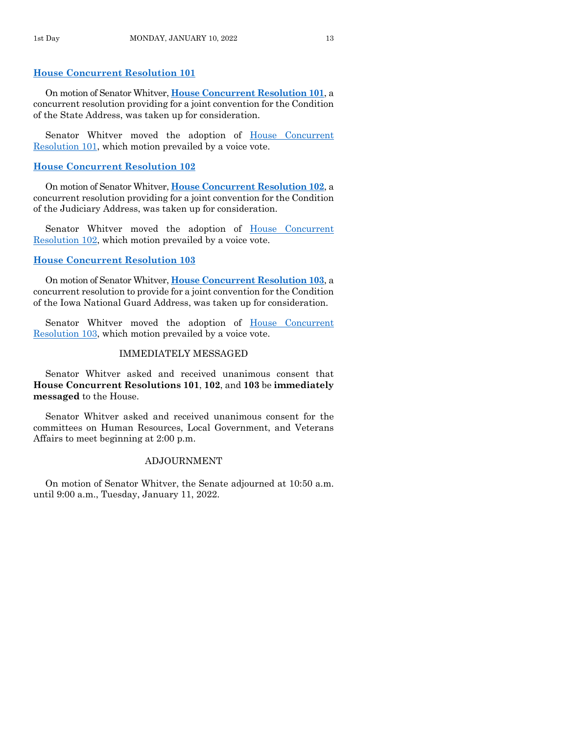## **[House Concurrent Resolution 101](https://www.legis.iowa.gov/legislation/BillBook?ga=89&ba=HCR101)**

On motion of Senator Whitver, **House [Concurrent Resolution 101](https://www.legis.iowa.gov/legislation/BillBook?ga=89&ba=HCR101)**, a concurrent resolution providing for a joint convention for the Condition of the State Address, was taken up for consideration.

Senator Whitver moved the adoption of House Concurrent [Resolution 101,](https://www.legis.iowa.gov/legislation/BillBook?ga=89&ba=HCR101) which motion prevailed by a voice vote.

## **[House Concurrent Resolution 102](https://www.legis.iowa.gov/legislation/BillBook?ga=89&ba=HCR102)**

On motion of Senator Whitver, **House [Concurrent Resolution 102](https://www.legis.iowa.gov/legislation/BillBook?ga=89&ba=HCR102)**, a concurrent resolution providing for a joint convention for the Condition of the Judiciary Address, was taken up for consideration.

Senator Whitver moved the adoption of House Concurrent [Resolution 102,](https://www.legis.iowa.gov/legislation/BillBook?ga=89&ba=HCR102) which motion prevailed by a voice vote.

## **[House Concurrent Resolution 103](https://www.legis.iowa.gov/legislation/BillBook?ga=89&ba=HCR103)**

On motion of Senator Whitver, **House [Concurrent Resolution 103](https://www.legis.iowa.gov/legislation/BillBook?ga=89&ba=HCR103)**, a concurrent resolution to provide for a joint convention for the Condition of the Iowa National Guard Address, was taken up for consideration.

Senator Whitver moved the adoption of [House Concurrent](https://www.legis.iowa.gov/legislation/BillBook?ga=89&ba=HCR103)  [Resolution 103,](https://www.legis.iowa.gov/legislation/BillBook?ga=89&ba=HCR103) which motion prevailed by a voice vote.

## IMMEDIATELY MESSAGED

Senator Whitver asked and received unanimous consent that **House Concurrent Resolutions 101**, **102**, and **103** be **immediately messaged** to the House.

Senator Whitver asked and received unanimous consent for the committees on Human Resources, Local Government, and Veterans Affairs to meet beginning at 2:00 p.m.

## ADJOURNMENT

On motion of Senator Whitver, the Senate adjourned at 10:50 a.m. until 9:00 a.m., Tuesday, January 11, 2022.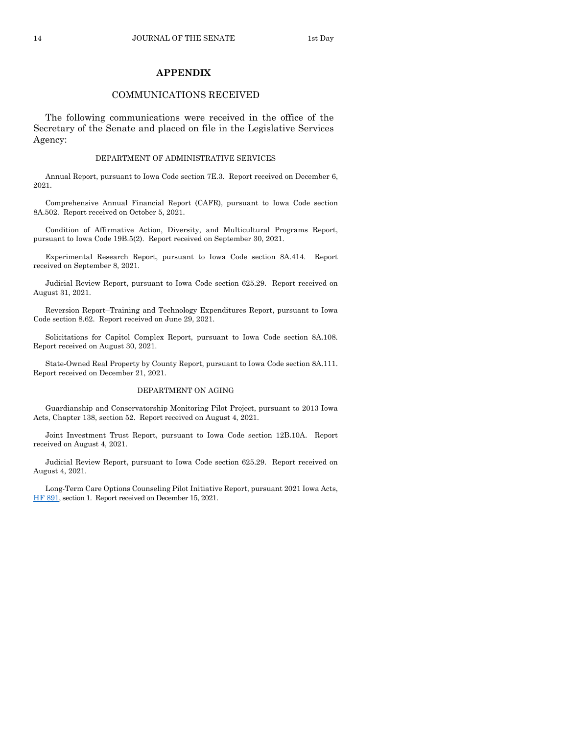## **APPENDIX**

## COMMUNICATIONS RECEIVED

The following communications were received in the office of the Secretary of the Senate and placed on file in the Legislative Services Agency:

#### DEPARTMENT OF ADMINISTRATIVE SERVICES

Annual Report, pursuant to Iowa Code section 7E.3. Report received on December 6, 2021.

Comprehensive Annual Financial Report (CAFR), pursuant to Iowa Code section 8A.502. Report received on October 5, 2021.

Condition of Affirmative Action, Diversity, and Multicultural Programs Report, pursuant to Iowa Code 19B.5(2). Report received on September 30, 2021.

Experimental Research Report, pursuant to Iowa Code section 8A.414. Report received on September 8, 2021.

Judicial Review Report, pursuant to Iowa Code section 625.29. Report received on August 31, 2021.

Reversion Report–Training and Technology Expenditures Report, pursuant to Iowa Code section 8.62. Report received on June 29, 2021.

Solicitations for Capitol Complex Report, pursuant to Iowa Code section 8A.108. Report received on August 30, 2021.

State-Owned Real Property by County Report, pursuant to Iowa Code section 8A.111. Report received on December 21, 2021.

## DEPARTMENT ON AGING

Guardianship and Conservatorship Monitoring Pilot Project, pursuant to 2013 Iowa Acts, Chapter 138, section 52. Report received on August 4, 2021.

Joint Investment Trust Report, pursuant to Iowa Code section 12B.10A. Report received on August 4, 2021.

Judicial Review Report, pursuant to Iowa Code section 625.29. Report received on August 4, 2021.

Long-Term Care Options Counseling Pilot Initiative Report, pursuant 2021 Iowa Acts, [HF 891,](https://www.legis.iowa.gov/legislation/BillBook?ga=89&ba=HF891) section 1. Report received on December 15, 2021.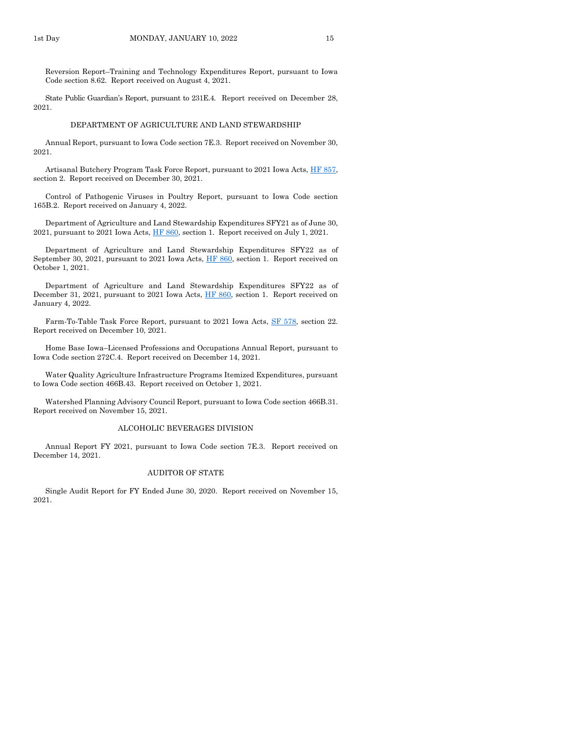Reversion Report–Training and Technology Expenditures Report, pursuant to Iowa Code section 8.62. Report received on August 4, 2021.

State Public Guardian's Report, pursuant to 231E.4. Report received on December 28, 2021.

#### DEPARTMENT OF AGRICULTURE AND LAND STEWARDSHIP

Annual Report, pursuant to Iowa Code section 7E.3. Report received on November 30, 2021.

Artisanal Butchery Program Task Force Report, pursuant to 2021 Iowa Acts, HF 857, section 2. Report received on December 30, 2021.

Control of Pathogenic Viruses in Poultry Report, pursuant to Iowa Code section 165B.2. Report received on January 4, 2022.

Department of Agriculture and Land Stewardship Expenditures SFY21 as of June 30, 2021, pursuant to 2021 Iowa Acts[, HF 860,](https://www.legis.iowa.gov/legislation/BillBook?ga=89&ba=HF860) section 1. Report received on July 1, 2021.

Department of Agriculture and Land Stewardship Expenditures SFY22 as of September 30, 2021, pursuant to 2021 Iowa Acts, [HF 860,](https://www.legis.iowa.gov/legislation/BillBook?ga=89&ba=HF860) section 1. Report received on October 1, 2021.

Department of Agriculture and Land Stewardship Expenditures SFY22 as of December 31, 2021, pursuant to 2021 Iowa Acts, [HF 860,](https://www.legis.iowa.gov/legislation/BillBook?ga=89&ba=HF860) section 1. Report received on January 4, 2022.

Farm-To-Table Task Force Report, pursuant to 2021 Iowa Acts, [SF 578,](https://www.legis.iowa.gov/legislation/BillBook?ga=89&ba=SF578) section 22. Report received on December 10, 2021.

Home Base Iowa–Licensed Professions and Occupations Annual Report, pursuant to Iowa Code section 272C.4. Report received on December 14, 2021.

Water Quality Agriculture Infrastructure Programs Itemized Expenditures, pursuant to Iowa Code section 466B.43. Report received on October 1, 2021.

Watershed Planning Advisory Council Report, pursuant to Iowa Code section 466B.31. Report received on November 15, 2021.

#### ALCOHOLIC BEVERAGES DIVISION

Annual Report FY 2021, pursuant to Iowa Code section 7E.3. Report received on December 14, 2021.

#### AUDITOR OF STATE

Single Audit Report for FY Ended June 30, 2020. Report received on November 15, 2021.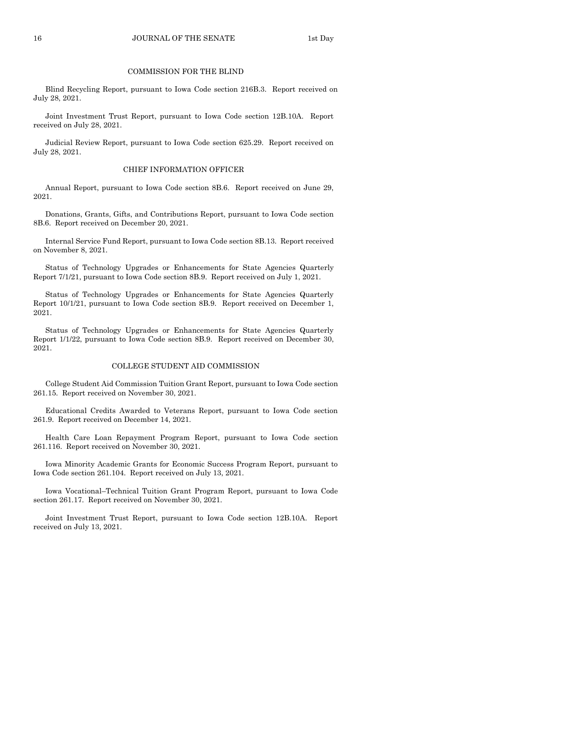#### COMMISSION FOR THE BLIND

Blind Recycling Report, pursuant to Iowa Code section 216B.3. Report received on July 28, 2021.

Joint Investment Trust Report, pursuant to Iowa Code section 12B.10A. Report received on July 28, 2021.

Judicial Review Report, pursuant to Iowa Code section 625.29. Report received on July 28, 2021.

#### CHIEF INFORMATION OFFICER

Annual Report, pursuant to Iowa Code section 8B.6. Report received on June 29, 2021.

Donations, Grants, Gifts, and Contributions Report, pursuant to Iowa Code section 8B.6. Report received on December 20, 2021.

Internal Service Fund Report, pursuant to Iowa Code section 8B.13. Report received on November 8, 2021.

Status of Technology Upgrades or Enhancements for State Agencies Quarterly Report 7/1/21, pursuant to Iowa Code section 8B.9. Report received on July 1, 2021.

Status of Technology Upgrades or Enhancements for State Agencies Quarterly Report 10/1/21, pursuant to Iowa Code section 8B.9. Report received on December 1, 2021.

Status of Technology Upgrades or Enhancements for State Agencies Quarterly Report 1/1/22, pursuant to Iowa Code section 8B.9. Report received on December 30, 2021.

#### COLLEGE STUDENT AID COMMISSION

College Student Aid Commission Tuition Grant Report, pursuant to Iowa Code section 261.15. Report received on November 30, 2021.

Educational Credits Awarded to Veterans Report, pursuant to Iowa Code section 261.9. Report received on December 14, 2021.

Health Care Loan Repayment Program Report, pursuant to Iowa Code section 261.116. Report received on November 30, 2021.

Iowa Minority Academic Grants for Economic Success Program Report, pursuant to Iowa Code section 261.104. Report received on July 13, 2021.

Iowa Vocational–Technical Tuition Grant Program Report, pursuant to Iowa Code section 261.17. Report received on November 30, 2021.

Joint Investment Trust Report, pursuant to Iowa Code section 12B.10A. Report received on July 13, 2021.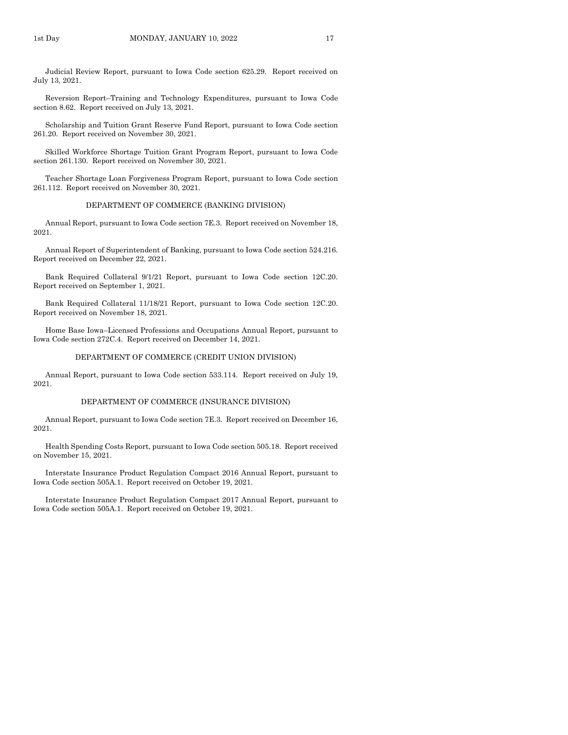Judicial Review Report, pursuant to Iowa Code section 625.29. Report received on July 13, 2021.

Reversion Report–Training and Technology Expenditures, pursuant to Iowa Code section 8.62. Report received on July 13, 2021.

Scholarship and Tuition Grant Reserve Fund Report, pursuant to Iowa Code section 261.20. Report received on November 30, 2021.

Skilled Workforce Shortage Tuition Grant Program Report, pursuant to Iowa Code section 261.130. Report received on November 30, 2021.

Teacher Shortage Loan Forgiveness Program Report, pursuant to Iowa Code section 261.112. Report received on November 30, 2021.

#### DEPARTMENT OF COMMERCE (BANKING DIVISION)

Annual Report, pursuant to Iowa Code section 7E.3. Report received on November 18, 2021.

Annual Report of Superintendent of Banking, pursuant to Iowa Code section 524.216. Report received on December 22, 2021.

Bank Required Collateral 9/1/21 Report, pursuant to Iowa Code section 12C.20. Report received on September 1, 2021.

Bank Required Collateral 11/18/21 Report, pursuant to Iowa Code section 12C.20. Report received on November 18, 2021.

Home Base Iowa–Licensed Professions and Occupations Annual Report, pursuant to Iowa Code section 272C.4. Report received on December 14, 2021.

#### DEPARTMENT OF COMMERCE (CREDIT UNION DIVISION)

Annual Report, pursuant to Iowa Code section 533.114. Report received on July 19, 2021.

#### DEPARTMENT OF COMMERCE (INSURANCE DIVISION)

Annual Report, pursuant to Iowa Code section 7E.3. Report received on December 16, 2021.

Health Spending Costs Report, pursuant to Iowa Code section 505.18. Report received on November 15, 2021.

Interstate Insurance Product Regulation Compact 2016 Annual Report, pursuant to Iowa Code section 505A.1. Report received on October 19, 2021.

Interstate Insurance Product Regulation Compact 2017 Annual Report, pursuant to Iowa Code section 505A.1. Report received on October 19, 2021.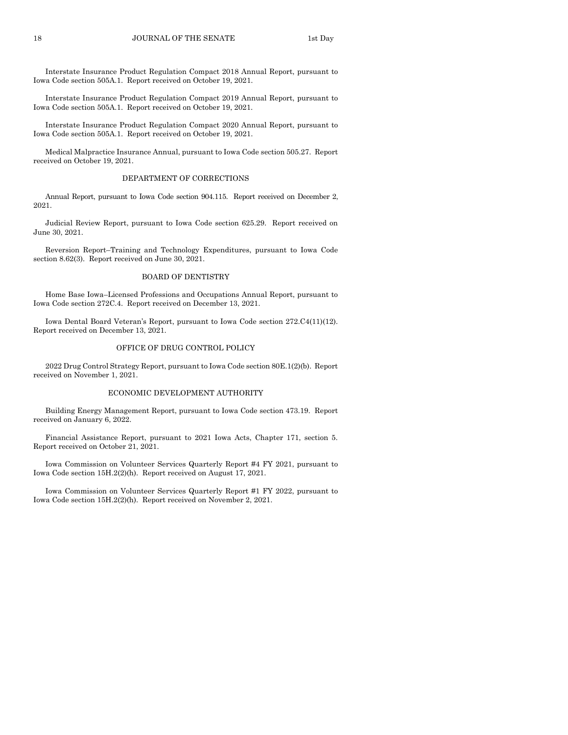Interstate Insurance Product Regulation Compact 2018 Annual Report, pursuant to Iowa Code section 505A.1. Report received on October 19, 2021.

Interstate Insurance Product Regulation Compact 2019 Annual Report, pursuant to Iowa Code section 505A.1. Report received on October 19, 2021.

Interstate Insurance Product Regulation Compact 2020 Annual Report, pursuant to Iowa Code section 505A.1. Report received on October 19, 2021.

Medical Malpractice Insurance Annual, pursuant to Iowa Code section 505.27. Report received on October 19, 2021.

#### DEPARTMENT OF CORRECTIONS

Annual Report, pursuant to Iowa Code section 904.115. Report received on December 2, 2021.

Judicial Review Report, pursuant to Iowa Code section 625.29. Report received on June 30, 2021.

Reversion Report–Training and Technology Expenditures, pursuant to Iowa Code section 8.62(3). Report received on June 30, 2021.

#### BOARD OF DENTISTRY

Home Base Iowa–Licensed Professions and Occupations Annual Report, pursuant to Iowa Code section 272C.4. Report received on December 13, 2021.

Iowa Dental Board Veteran's Report, pursuant to Iowa Code section 272.C4(11)(12). Report received on December 13, 2021.

#### OFFICE OF DRUG CONTROL POLICY

2022 Drug Control Strategy Report, pursuant to Iowa Code section 80E.1(2)(b). Report received on November 1, 2021.

#### ECONOMIC DEVELOPMENT AUTHORITY

Building Energy Management Report, pursuant to Iowa Code section 473.19. Report received on January 6, 2022.

Financial Assistance Report, pursuant to 2021 Iowa Acts, Chapter 171, section 5. Report received on October 21, 2021.

Iowa Commission on Volunteer Services Quarterly Report #4 FY 2021, pursuant to Iowa Code section 15H.2(2)(h). Report received on August 17, 2021.

Iowa Commission on Volunteer Services Quarterly Report #1 FY 2022, pursuant to Iowa Code section 15H.2(2)(h). Report received on November 2, 2021.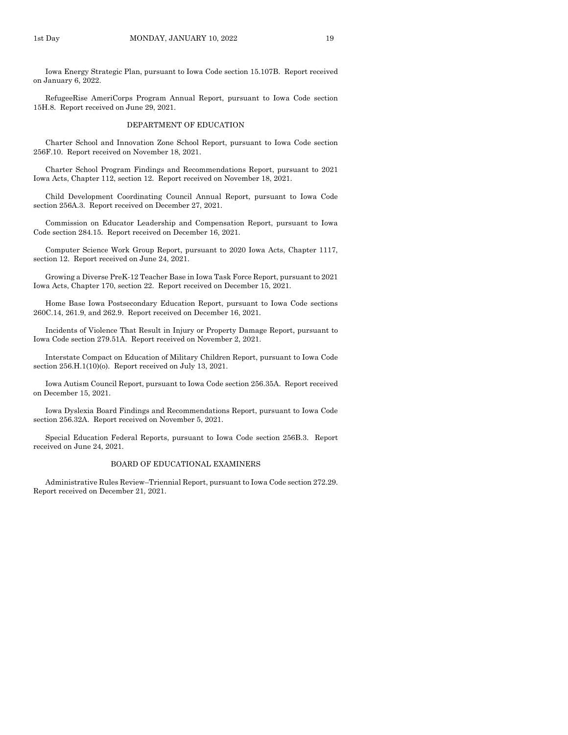Iowa Energy Strategic Plan, pursuant to Iowa Code section 15.107B. Report received on January 6, 2022.

RefugeeRise AmeriCorps Program Annual Report, pursuant to Iowa Code section 15H.8. Report received on June 29, 2021.

#### DEPARTMENT OF EDUCATION

Charter School and Innovation Zone School Report, pursuant to Iowa Code section 256F.10. Report received on November 18, 2021.

Charter School Program Findings and Recommendations Report, pursuant to 2021 Iowa Acts, Chapter 112, section 12. Report received on November 18, 2021.

Child Development Coordinating Council Annual Report, pursuant to Iowa Code section 256A.3. Report received on December 27, 2021.

Commission on Educator Leadership and Compensation Report, pursuant to Iowa Code section 284.15. Report received on December 16, 2021.

Computer Science Work Group Report, pursuant to 2020 Iowa Acts, Chapter 1117, section 12. Report received on June 24, 2021.

Growing a Diverse PreK-12 Teacher Base in Iowa Task Force Report, pursuant to 2021 Iowa Acts, Chapter 170, section 22. Report received on December 15, 2021.

Home Base Iowa Postsecondary Education Report, pursuant to Iowa Code sections 260C.14, 261.9, and 262.9. Report received on December 16, 2021.

Incidents of Violence That Result in Injury or Property Damage Report, pursuant to Iowa Code section 279.51A. Report received on November 2, 2021.

Interstate Compact on Education of Military Children Report, pursuant to Iowa Code section 256.H.1(10)(o). Report received on July 13, 2021.

Iowa Autism Council Report, pursuant to Iowa Code section 256.35A. Report received on December 15, 2021.

Iowa Dyslexia Board Findings and Recommendations Report, pursuant to Iowa Code section 256.32A. Report received on November 5, 2021.

Special Education Federal Reports, pursuant to Iowa Code section 256B.3. Report received on June 24, 2021.

#### BOARD OF EDUCATIONAL EXAMINERS

Administrative Rules Review–Triennial Report, pursuant to Iowa Code section 272.29. Report received on December 21, 2021.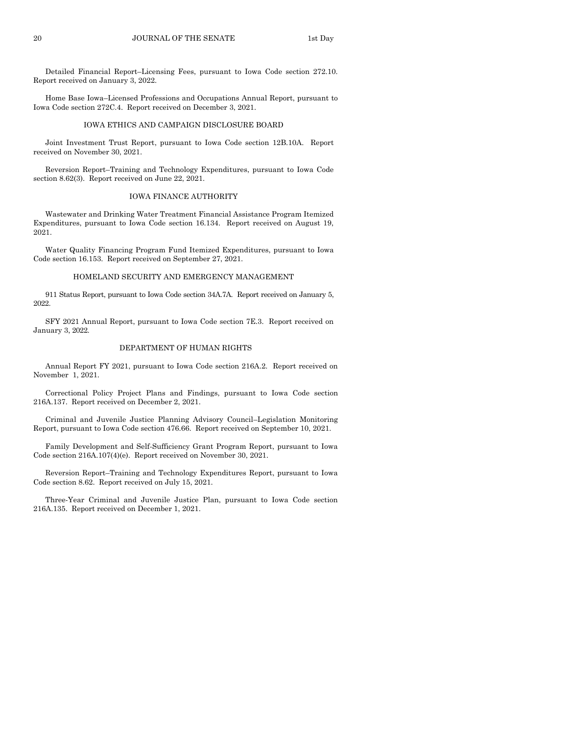Detailed Financial Report–Licensing Fees, pursuant to Iowa Code section 272.10. Report received on January 3, 2022.

Home Base Iowa–Licensed Professions and Occupations Annual Report, pursuant to Iowa Code section 272C.4. Report received on December 3, 2021.

#### IOWA ETHICS AND CAMPAIGN DISCLOSURE BOARD

Joint Investment Trust Report, pursuant to Iowa Code section 12B.10A. Report received on November 30, 2021.

Reversion Report–Training and Technology Expenditures, pursuant to Iowa Code section 8.62(3). Report received on June 22, 2021.

#### IOWA FINANCE AUTHORITY

Wastewater and Drinking Water Treatment Financial Assistance Program Itemized Expenditures, pursuant to Iowa Code section 16.134. Report received on August 19, 2021.

Water Quality Financing Program Fund Itemized Expenditures, pursuant to Iowa Code section 16.153. Report received on September 27, 2021.

#### HOMELAND SECURITY AND EMERGENCY MANAGEMENT

911 Status Report, pursuant to Iowa Code section 34A.7A. Report received on January 5, 2022.

SFY 2021 Annual Report, pursuant to Iowa Code section 7E.3. Report received on January 3, 2022.

#### DEPARTMENT OF HUMAN RIGHTS

Annual Report FY 2021, pursuant to Iowa Code section 216A.2. Report received on November 1, 2021.

Correctional Policy Project Plans and Findings, pursuant to Iowa Code section 216A.137. Report received on December 2, 2021.

Criminal and Juvenile Justice Planning Advisory Council–Legislation Monitoring Report, pursuant to Iowa Code section 476.66. Report received on September 10, 2021.

Family Development and Self-Sufficiency Grant Program Report, pursuant to Iowa Code section 216A.107(4)(e). Report received on November 30, 2021.

Reversion Report–Training and Technology Expenditures Report, pursuant to Iowa Code section 8.62. Report received on July 15, 2021.

Three-Year Criminal and Juvenile Justice Plan, pursuant to Iowa Code section 216A.135. Report received on December 1, 2021.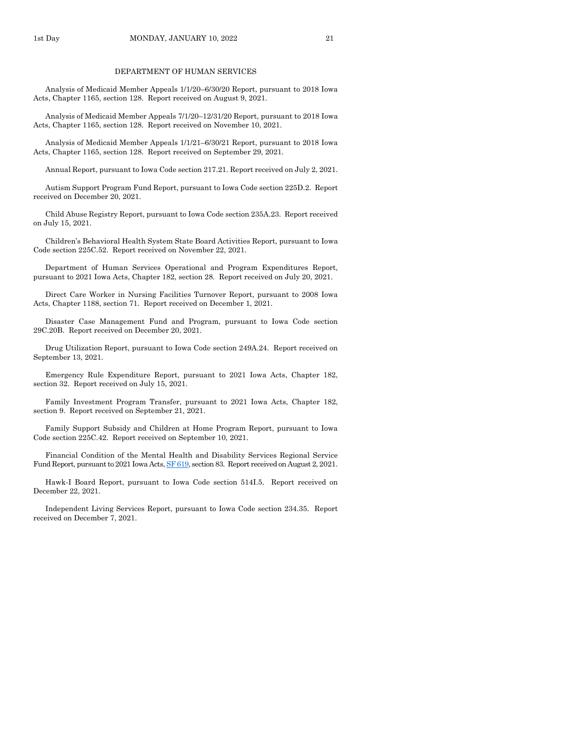#### DEPARTMENT OF HUMAN SERVICES

Analysis of Medicaid Member Appeals 1/1/20–6/30/20 Report, pursuant to 2018 Iowa Acts, Chapter 1165, section 128. Report received on August 9, 2021.

Analysis of Medicaid Member Appeals 7/1/20–12/31/20 Report, pursuant to 2018 Iowa Acts, Chapter 1165, section 128. Report received on November 10, 2021.

Analysis of Medicaid Member Appeals 1/1/21–6/30/21 Report, pursuant to 2018 Iowa Acts, Chapter 1165, section 128. Report received on September 29, 2021.

Annual Report, pursuant to Iowa Code section 217.21. Report received on July 2, 2021.

Autism Support Program Fund Report, pursuant to Iowa Code section 225D.2. Report received on December 20, 2021.

Child Abuse Registry Report, pursuant to Iowa Code section 235A.23. Report received on July 15, 2021.

Children's Behavioral Health System State Board Activities Report, pursuant to Iowa Code section 225C.52. Report received on November 22, 2021.

Department of Human Services Operational and Program Expenditures Report, pursuant to 2021 Iowa Acts, Chapter 182, section 28. Report received on July 20, 2021.

Direct Care Worker in Nursing Facilities Turnover Report, pursuant to 2008 Iowa Acts, Chapter 1188, section 71. Report received on December 1, 2021.

Disaster Case Management Fund and Program, pursuant to Iowa Code section 29C.20B. Report received on December 20, 2021.

Drug Utilization Report, pursuant to Iowa Code section 249A.24. Report received on September 13, 2021.

Emergency Rule Expenditure Report, pursuant to 2021 Iowa Acts, Chapter 182, section 32. Report received on July 15, 2021.

Family Investment Program Transfer, pursuant to 2021 Iowa Acts, Chapter 182, section 9. Report received on September 21, 2021.

Family Support Subsidy and Children at Home Program Report, pursuant to Iowa Code section 225C.42. Report received on September 10, 2021.

Financial Condition of the Mental Health and Disability Services Regional Service Fund Report, pursuant to 2021 Iowa Acts[, SF 619,](https://www.legis.iowa.gov/legislation/BillBook?ga=89&ba=SF619) section 83. Report received on August 2, 2021.

Hawk-I Board Report, pursuant to Iowa Code section 514I.5. Report received on December 22, 2021.

Independent Living Services Report, pursuant to Iowa Code section 234.35. Report received on December 7, 2021.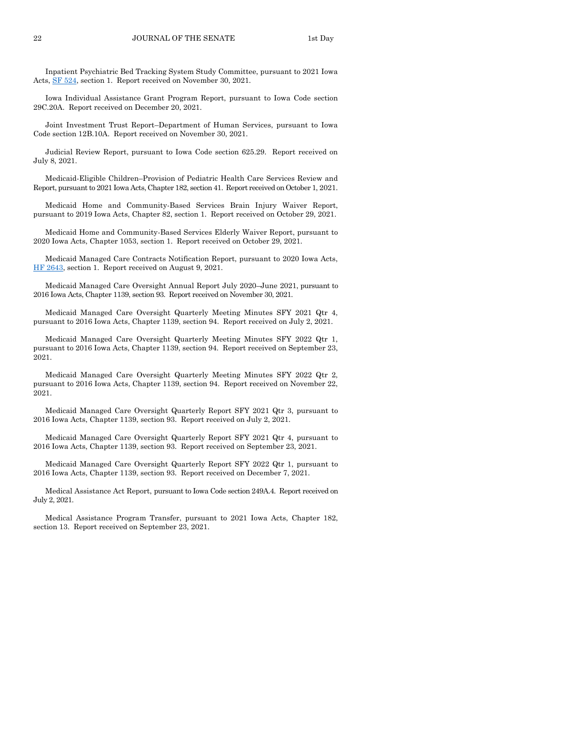Inpatient Psychiatric Bed Tracking System Study Committee, pursuant to 2021 Iowa Acts[, SF 524,](https://www.legis.iowa.gov/legislation/BillBook?ga=89&ba=SF524) section 1. Report received on November 30, 2021.

Iowa Individual Assistance Grant Program Report, pursuant to Iowa Code section 29C.20A. Report received on December 20, 2021.

Joint Investment Trust Report–Department of Human Services, pursuant to Iowa Code section 12B.10A. Report received on November 30, 2021.

Judicial Review Report, pursuant to Iowa Code section 625.29. Report received on July 8, 2021.

Medicaid-Eligible Children–Provision of Pediatric Health Care Services Review and Report, pursuant to 2021 Iowa Acts, Chapter 182, section 41. Report received on October 1, 2021.

Medicaid Home and Community-Based Services Brain Injury Waiver Report, pursuant to 2019 Iowa Acts, Chapter 82, section 1. Report received on October 29, 2021.

Medicaid Home and Community-Based Services Elderly Waiver Report, pursuant to 2020 Iowa Acts, Chapter 1053, section 1. Report received on October 29, 2021.

Medicaid Managed Care Contracts Notification Report, pursuant to 2020 Iowa Acts, [HF 2643,](https://www.legis.iowa.gov/legislation/BillBook?ga=89&ba=HF2643) section 1. Report received on August 9, 2021.

Medicaid Managed Care Oversight Annual Report July 2020–June 2021, pursuant to 2016 Iowa Acts, Chapter 1139, section 93. Report received on November 30, 2021.

Medicaid Managed Care Oversight Quarterly Meeting Minutes SFY 2021 Qtr 4, pursuant to 2016 Iowa Acts, Chapter 1139, section 94. Report received on July 2, 2021.

Medicaid Managed Care Oversight Quarterly Meeting Minutes SFY 2022 Qtr 1, pursuant to 2016 Iowa Acts, Chapter 1139, section 94. Report received on September 23, 2021.

Medicaid Managed Care Oversight Quarterly Meeting Minutes SFY 2022 Qtr 2, pursuant to 2016 Iowa Acts, Chapter 1139, section 94. Report received on November 22, 2021.

Medicaid Managed Care Oversight Quarterly Report SFY 2021 Qtr 3, pursuant to 2016 Iowa Acts, Chapter 1139, section 93. Report received on July 2, 2021.

Medicaid Managed Care Oversight Quarterly Report SFY 2021 Qtr 4, pursuant to 2016 Iowa Acts, Chapter 1139, section 93. Report received on September 23, 2021.

Medicaid Managed Care Oversight Quarterly Report SFY 2022 Qtr 1, pursuant to 2016 Iowa Acts, Chapter 1139, section 93. Report received on December 7, 2021.

Medical Assistance Act Report, pursuant to Iowa Code section 249A.4. Report received on July 2, 2021.

Medical Assistance Program Transfer, pursuant to 2021 Iowa Acts, Chapter 182, section 13. Report received on September 23, 2021.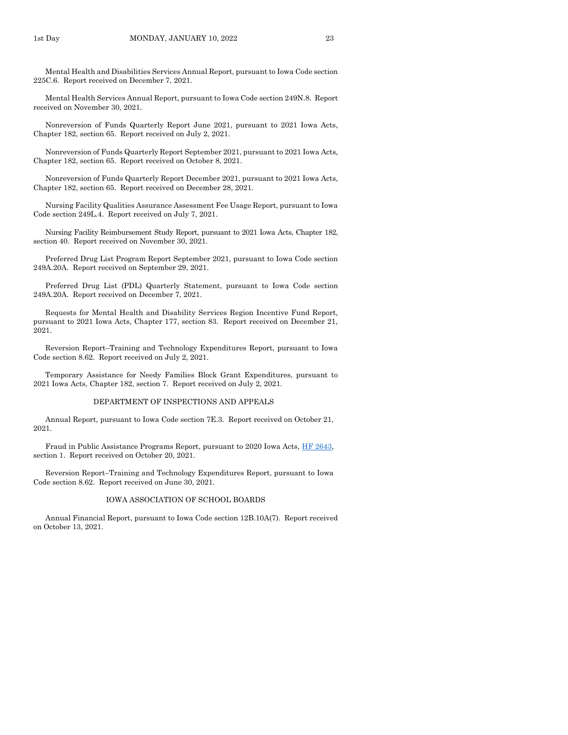Mental Health and Disabilities Services Annual Report, pursuant to Iowa Code section 225C.6. Report received on December 7, 2021.

Mental Health Services Annual Report, pursuant to Iowa Code section 249N.8. Report received on November 30, 2021.

Nonreversion of Funds Quarterly Report June 2021, pursuant to 2021 Iowa Acts, Chapter 182, section 65. Report received on July 2, 2021.

Nonreversion of Funds Quarterly Report September 2021, pursuant to 2021 Iowa Acts, Chapter 182, section 65. Report received on October 8, 2021.

Nonreversion of Funds Quarterly Report December 2021, pursuant to 2021 Iowa Acts, Chapter 182, section 65. Report received on December 28, 2021.

Nursing Facility Qualities Assurance Assessment Fee Usage Report, pursuant to Iowa Code section 249L.4. Report received on July 7, 2021.

Nursing Facility Reimbursement Study Report, pursuant to 2021 Iowa Acts, Chapter 182, section 40. Report received on November 30, 2021.

Preferred Drug List Program Report September 2021, pursuant to Iowa Code section 249A.20A. Report received on September 29, 2021.

Preferred Drug List (PDL) Quarterly Statement, pursuant to Iowa Code section 249A.20A. Report received on December 7, 2021.

Requests for Mental Health and Disability Services Region Incentive Fund Report, pursuant to 2021 Iowa Acts, Chapter 177, section 83. Report received on December 21, 2021.

Reversion Report–Training and Technology Expenditures Report, pursuant to Iowa Code section 8.62. Report received on July 2, 2021.

Temporary Assistance for Needy Families Block Grant Expenditures, pursuant to 2021 Iowa Acts, Chapter 182, section 7. Report received on July 2, 2021.

#### DEPARTMENT OF INSPECTIONS AND APPEALS

Annual Report, pursuant to Iowa Code section 7E.3. Report received on October 21, 2021.

Fraud in Public Assistance Programs Report, pursuant to 2020 Iowa Acts[, HF 2643,](https://www.legis.iowa.gov/legislation/BillBook?ga=89&ba=HF2643) section 1. Report received on October 20, 2021.

Reversion Report–Training and Technology Expenditures Report, pursuant to Iowa Code section 8.62. Report received on June 30, 2021.

#### IOWA ASSOCIATION OF SCHOOL BOARDS

Annual Financial Report, pursuant to Iowa Code section 12B.10A(7). Report received on October 13, 2021.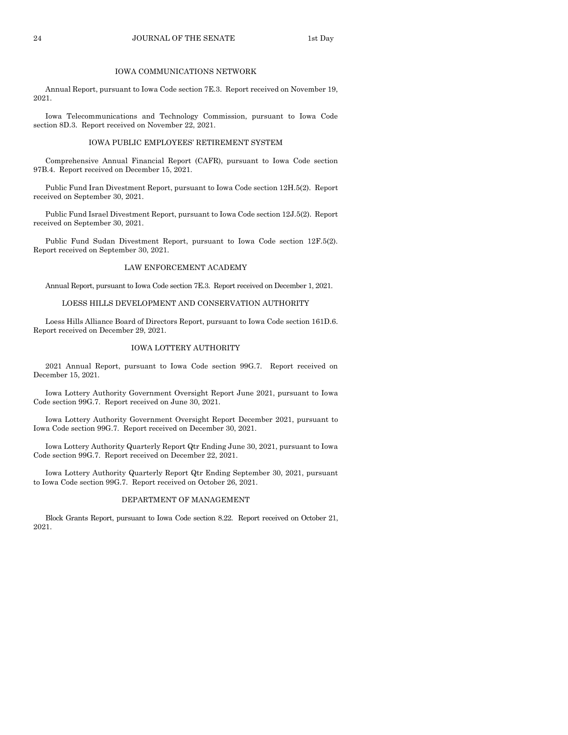#### 24 JOURNAL OF THE SENATE 1st Day

#### IOWA COMMUNICATIONS NETWORK

Annual Report, pursuant to Iowa Code section 7E.3. Report received on November 19, 2021.

Iowa Telecommunications and Technology Commission, pursuant to Iowa Code section 8D.3. Report received on November 22, 2021.

#### IOWA PUBLIC EMPLOYEES' RETIREMENT SYSTEM

Comprehensive Annual Financial Report (CAFR), pursuant to Iowa Code section 97B.4. Report received on December 15, 2021.

Public Fund Iran Divestment Report, pursuant to Iowa Code section 12H.5(2). Report received on September 30, 2021.

Public Fund Israel Divestment Report, pursuant to Iowa Code section 12J.5(2). Report received on September 30, 2021.

Public Fund Sudan Divestment Report, pursuant to Iowa Code section 12F.5(2). Report received on September 30, 2021.

#### LAW ENFORCEMENT ACADEMY

Annual Report, pursuant to Iowa Code section 7E.3. Report received on December 1, 2021.

#### LOESS HILLS DEVELOPMENT AND CONSERVATION AUTHORITY

Loess Hills Alliance Board of Directors Report, pursuant to Iowa Code section 161D.6. Report received on December 29, 2021.

#### IOWA LOTTERY AUTHORITY

2021 Annual Report, pursuant to Iowa Code section 99G.7. Report received on December 15, 2021.

Iowa Lottery Authority Government Oversight Report June 2021, pursuant to Iowa Code section 99G.7. Report received on June 30, 2021.

Iowa Lottery Authority Government Oversight Report December 2021, pursuant to Iowa Code section 99G.7. Report received on December 30, 2021.

Iowa Lottery Authority Quarterly Report Qtr Ending June 30, 2021, pursuant to Iowa Code section 99G.7. Report received on December 22, 2021.

Iowa Lottery Authority Quarterly Report Qtr Ending September 30, 2021, pursuant to Iowa Code section 99G.7. Report received on October 26, 2021.

#### DEPARTMENT OF MANAGEMENT

Block Grants Report, pursuant to Iowa Code section 8.22. Report received on October 21, 2021.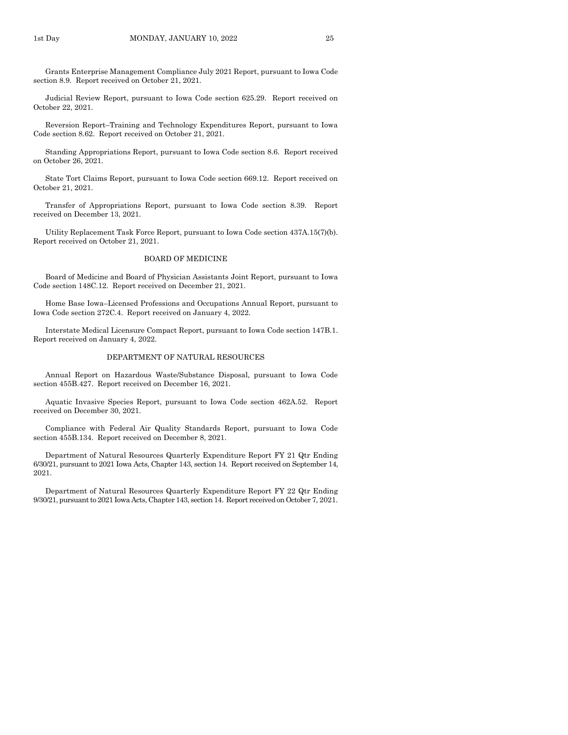Grants Enterprise Management Compliance July 2021 Report, pursuant to Iowa Code section 8.9. Report received on October 21, 2021.

Judicial Review Report, pursuant to Iowa Code section 625.29. Report received on October 22, 2021.

Reversion Report–Training and Technology Expenditures Report, pursuant to Iowa Code section 8.62. Report received on October 21, 2021.

Standing Appropriations Report, pursuant to Iowa Code section 8.6. Report received on October 26, 2021.

State Tort Claims Report, pursuant to Iowa Code section 669.12. Report received on October 21, 2021.

Transfer of Appropriations Report, pursuant to Iowa Code section 8.39. Report received on December 13, 2021.

Utility Replacement Task Force Report, pursuant to Iowa Code section 437A.15(7)(b). Report received on October 21, 2021.

#### BOARD OF MEDICINE

Board of Medicine and Board of Physician Assistants Joint Report, pursuant to Iowa Code section 148C.12. Report received on December 21, 2021.

Home Base Iowa–Licensed Professions and Occupations Annual Report, pursuant to Iowa Code section 272C.4. Report received on January 4, 2022.

Interstate Medical Licensure Compact Report, pursuant to Iowa Code section 147B.1. Report received on January 4, 2022.

#### DEPARTMENT OF NATURAL RESOURCES

Annual Report on Hazardous Waste/Substance Disposal, pursuant to Iowa Code section 455B.427. Report received on December 16, 2021.

Aquatic Invasive Species Report, pursuant to Iowa Code section 462A.52. Report received on December 30, 2021.

Compliance with Federal Air Quality Standards Report, pursuant to Iowa Code section 455B.134. Report received on December 8, 2021.

Department of Natural Resources Quarterly Expenditure Report FY 21 Qtr Ending 6/30/21, pursuant to 2021 Iowa Acts, Chapter 143, section 14. Report received on September 14, 2021.

Department of Natural Resources Quarterly Expenditure Report FY 22 Qtr Ending 9/30/21, pursuant to 2021 Iowa Acts, Chapter 143, section 14. Report received on October 7, 2021.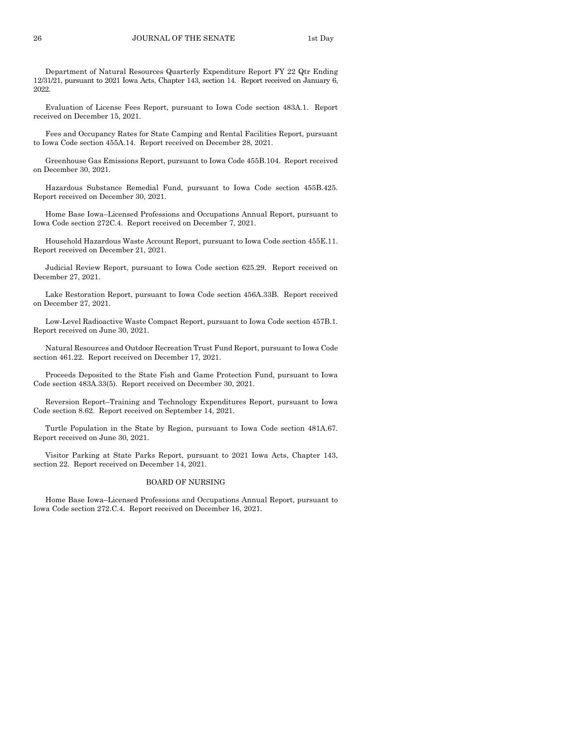Department of Natural Resources Quarterly Expenditure Report FY 22 Qtr Ending 12/31/21, pursuant to 2021 Iowa Acts, Chapter 143, section 14. Report received on January 6, 2022.

Evaluation of License Fees Report, pursuant to Iowa Code section 483A.1. Report received on December 15, 2021.

Fees and Occupancy Rates for State Camping and Rental Facilities Report, pursuant to Iowa Code section 455A.14. Report received on December 28, 2021.

Greenhouse Gas Emissions Report, pursuant to Iowa Code 455B.104. Report received on December 30, 2021.

Hazardous Substance Remedial Fund, pursuant to Iowa Code section 455B.425. Report received on December 30, 2021.

Home Base Iowa–Licensed Professions and Occupations Annual Report, pursuant to Iowa Code section 272C.4. Report received on December 7, 2021.

Household Hazardous Waste Account Report, pursuant to Iowa Code section 455E.11. Report received on December 21, 2021.

Judicial Review Report, pursuant to Iowa Code section 625.29. Report received on December 27, 2021.

Lake Restoration Report, pursuant to Iowa Code section 456A.33B. Report received on December 27, 2021.

Low-Level Radioactive Waste Compact Report, pursuant to Iowa Code section 457B.1. Report received on June 30, 2021.

Natural Resources and Outdoor Recreation Trust Fund Report, pursuant to Iowa Code section 461.22. Report received on December 17, 2021.

Proceeds Deposited to the State Fish and Game Protection Fund, pursuant to Iowa Code section 483A.33(5). Report received on December 30, 2021.

Reversion Report–Training and Technology Expenditures Report, pursuant to Iowa Code section 8.62. Report received on September 14, 2021.

Turtle Population in the State by Region, pursuant to Iowa Code section 481A.67. Report received on June 30, 2021.

Visitor Parking at State Parks Report, pursuant to 2021 Iowa Acts, Chapter 143, section 22. Report received on December 14, 2021.

#### BOARD OF NURSING

Home Base Iowa–Licensed Professions and Occupations Annual Report, pursuant to Iowa Code section 272.C.4. Report received on December 16, 2021.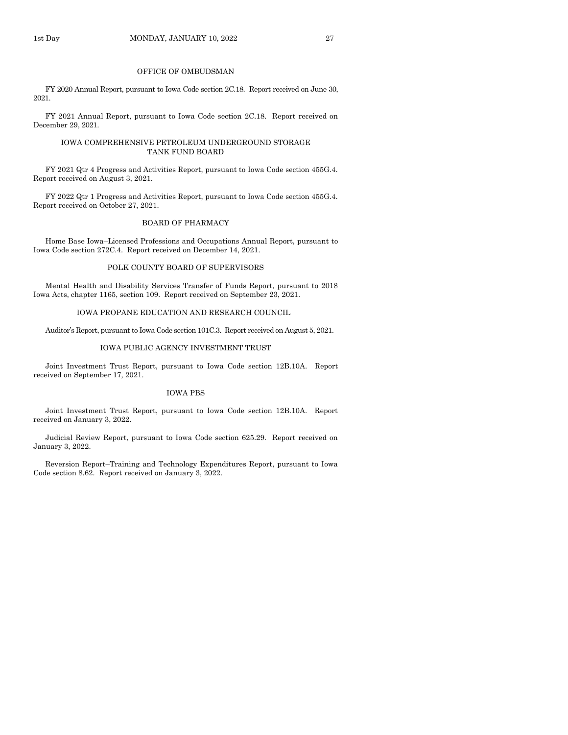#### OFFICE OF OMBUDSMAN

FY 2020 Annual Report, pursuant to Iowa Code section 2C.18. Report received on June 30, 2021.

FY 2021 Annual Report, pursuant to Iowa Code section 2C.18. Report received on December 29, 2021.

#### IOWA COMPREHENSIVE PETROLEUM UNDERGROUND STORAGE TANK FUND BOARD

FY 2021 Qtr 4 Progress and Activities Report, pursuant to Iowa Code section 455G.4. Report received on August 3, 2021.

FY 2022 Qtr 1 Progress and Activities Report, pursuant to Iowa Code section 455G.4. Report received on October 27, 2021.

#### BOARD OF PHARMACY

Home Base Iowa–Licensed Professions and Occupations Annual Report, pursuant to Iowa Code section 272C.4. Report received on December 14, 2021.

#### POLK COUNTY BOARD OF SUPERVISORS

Mental Health and Disability Services Transfer of Funds Report, pursuant to 2018 Iowa Acts, chapter 1165, section 109. Report received on September 23, 2021.

#### IOWA PROPANE EDUCATION AND RESEARCH COUNCIL

Auditor's Report, pursuant to Iowa Code section 101C.3. Report received on August 5, 2021.

#### IOWA PUBLIC AGENCY INVESTMENT TRUST

Joint Investment Trust Report, pursuant to Iowa Code section 12B.10A. Report received on September 17, 2021.

#### IOWA PBS

Joint Investment Trust Report, pursuant to Iowa Code section 12B.10A. Report received on January 3, 2022.

Judicial Review Report, pursuant to Iowa Code section 625.29. Report received on January 3, 2022.

Reversion Report–Training and Technology Expenditures Report, pursuant to Iowa Code section 8.62. Report received on January 3, 2022.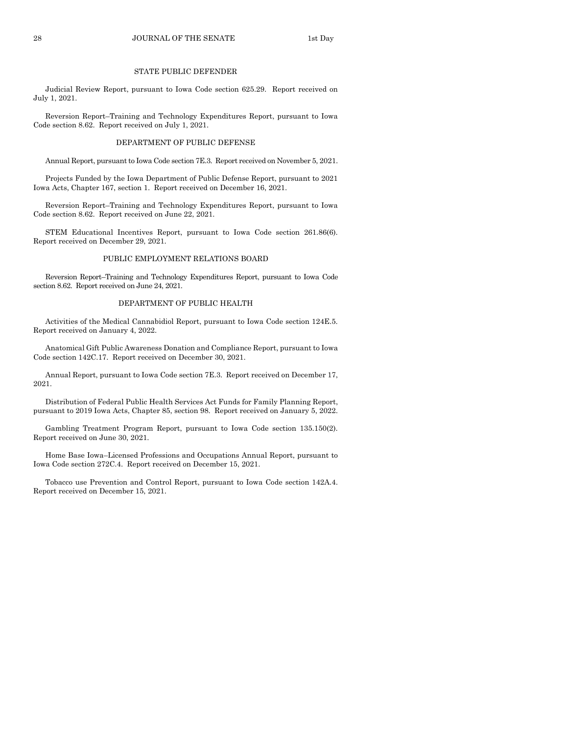## 28 JOURNAL OF THE SENATE 1st Day

#### STATE PUBLIC DEFENDER

Judicial Review Report, pursuant to Iowa Code section 625.29. Report received on July 1, 2021.

Reversion Report–Training and Technology Expenditures Report, pursuant to Iowa Code section 8.62. Report received on July 1, 2021.

#### DEPARTMENT OF PUBLIC DEFENSE

Annual Report, pursuant to Iowa Code section 7E.3. Report received on November 5, 2021.

Projects Funded by the Iowa Department of Public Defense Report, pursuant to 2021 Iowa Acts, Chapter 167, section 1. Report received on December 16, 2021.

Reversion Report–Training and Technology Expenditures Report, pursuant to Iowa Code section 8.62. Report received on June 22, 2021.

STEM Educational Incentives Report, pursuant to Iowa Code section 261.86(6). Report received on December 29, 2021.

#### PUBLIC EMPLOYMENT RELATIONS BOARD

Reversion Report–Training and Technology Expenditures Report, pursuant to Iowa Code section 8.62. Report received on June 24, 2021.

#### DEPARTMENT OF PUBLIC HEALTH

Activities of the Medical Cannabidiol Report, pursuant to Iowa Code section 124E.5. Report received on January 4, 2022.

Anatomical Gift Public Awareness Donation and Compliance Report, pursuant to Iowa Code section 142C.17. Report received on December 30, 2021.

Annual Report, pursuant to Iowa Code section 7E.3. Report received on December 17, 2021.

Distribution of Federal Public Health Services Act Funds for Family Planning Report, pursuant to 2019 Iowa Acts, Chapter 85, section 98. Report received on January 5, 2022.

Gambling Treatment Program Report, pursuant to Iowa Code section 135.150(2). Report received on June 30, 2021.

Home Base Iowa–Licensed Professions and Occupations Annual Report, pursuant to Iowa Code section 272C.4. Report received on December 15, 2021.

Tobacco use Prevention and Control Report, pursuant to Iowa Code section 142A.4. Report received on December 15, 2021.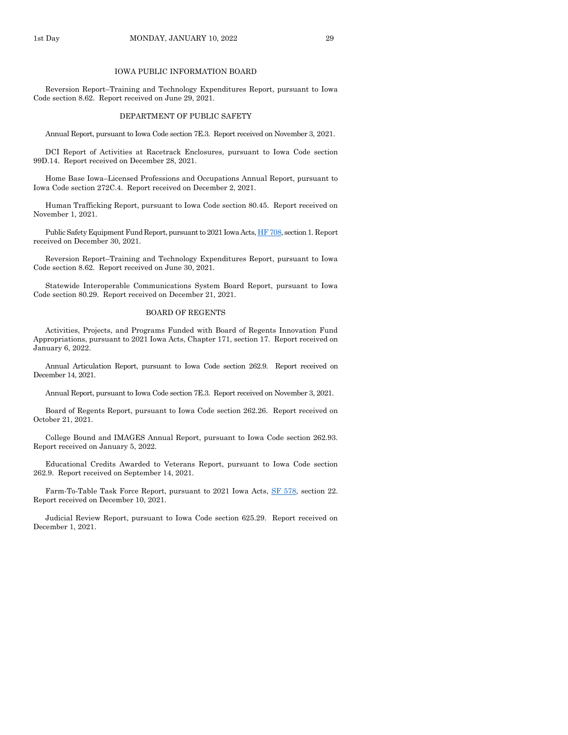#### IOWA PUBLIC INFORMATION BOARD

Reversion Report–Training and Technology Expenditures Report, pursuant to Iowa Code section 8.62. Report received on June 29, 2021.

#### DEPARTMENT OF PUBLIC SAFETY

Annual Report, pursuant to Iowa Code section 7E.3. Report received on November 3, 2021.

DCI Report of Activities at Racetrack Enclosures, pursuant to Iowa Code section 99D.14. Report received on December 28, 2021.

Home Base Iowa–Licensed Professions and Occupations Annual Report, pursuant to Iowa Code section 272C.4. Report received on December 2, 2021.

Human Trafficking Report, pursuant to Iowa Code section 80.45. Report received on November 1, 2021.

Public Safety Equipment Fund Report, pursuant to 2021 Iowa Acts[, HF 708,](https://www.legis.iowa.gov/legislation/BillBook?ga=89&ba=HF708) section 1. Report received on December 30, 2021.

Reversion Report–Training and Technology Expenditures Report, pursuant to Iowa Code section 8.62. Report received on June 30, 2021.

Statewide Interoperable Communications System Board Report, pursuant to Iowa Code section 80.29. Report received on December 21, 2021.

#### BOARD OF REGENTS

Activities, Projects, and Programs Funded with Board of Regents Innovation Fund Appropriations, pursuant to 2021 Iowa Acts, Chapter 171, section 17. Report received on January 6, 2022.

Annual Articulation Report, pursuant to Iowa Code section 262.9. Report received on December 14, 2021.

Annual Report, pursuant to Iowa Code section 7E.3. Report received on November 3, 2021.

Board of Regents Report, pursuant to Iowa Code section 262.26. Report received on October 21, 2021.

College Bound and IMAGES Annual Report, pursuant to Iowa Code section 262.93. Report received on January 5, 2022.

Educational Credits Awarded to Veterans Report, pursuant to Iowa Code section 262.9. Report received on September 14, 2021.

Farm-To-Table Task Force Report, pursuant to 2021 Iowa Acts, [SF 578,](https://www.legis.iowa.gov/legislation/BillBook?ga=89&ba=SF578) section 22. Report received on December 10, 2021.

Judicial Review Report, pursuant to Iowa Code section 625.29. Report received on December 1, 2021.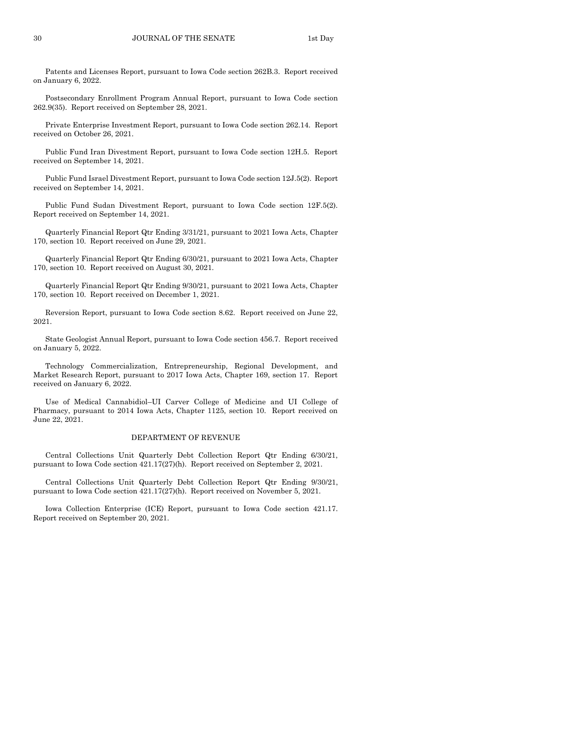Patents and Licenses Report, pursuant to Iowa Code section 262B.3. Report received on January 6, 2022.

Postsecondary Enrollment Program Annual Report, pursuant to Iowa Code section 262.9(35). Report received on September 28, 2021.

Private Enterprise Investment Report, pursuant to Iowa Code section 262.14. Report received on October 26, 2021.

Public Fund Iran Divestment Report, pursuant to Iowa Code section 12H.5. Report received on September 14, 2021.

Public Fund Israel Divestment Report, pursuant to Iowa Code section 12J.5(2). Report received on September 14, 2021.

Public Fund Sudan Divestment Report, pursuant to Iowa Code section 12F.5(2). Report received on September 14, 2021.

Quarterly Financial Report Qtr Ending 3/31/21, pursuant to 2021 Iowa Acts, Chapter 170, section 10. Report received on June 29, 2021.

Quarterly Financial Report Qtr Ending 6/30/21, pursuant to 2021 Iowa Acts, Chapter 170, section 10. Report received on August 30, 2021.

Quarterly Financial Report Qtr Ending 9/30/21, pursuant to 2021 Iowa Acts, Chapter 170, section 10. Report received on December 1, 2021.

Reversion Report, pursuant to Iowa Code section 8.62. Report received on June 22, 2021.

State Geologist Annual Report, pursuant to Iowa Code section 456.7. Report received on January 5, 2022.

Technology Commercialization, Entrepreneurship, Regional Development, and Market Research Report, pursuant to 2017 Iowa Acts, Chapter 169, section 17. Report received on January 6, 2022.

Use of Medical Cannabidiol–UI Carver College of Medicine and UI College of Pharmacy, pursuant to 2014 Iowa Acts, Chapter 1125, section 10. Report received on June 22, 2021.

#### DEPARTMENT OF REVENUE

Central Collections Unit Quarterly Debt Collection Report Qtr Ending 6/30/21, pursuant to Iowa Code section 421.17(27)(h). Report received on September 2, 2021.

Central Collections Unit Quarterly Debt Collection Report Qtr Ending 9/30/21, pursuant to Iowa Code section 421.17(27)(h). Report received on November 5, 2021.

Iowa Collection Enterprise (ICE) Report, pursuant to Iowa Code section 421.17. Report received on September 20, 2021.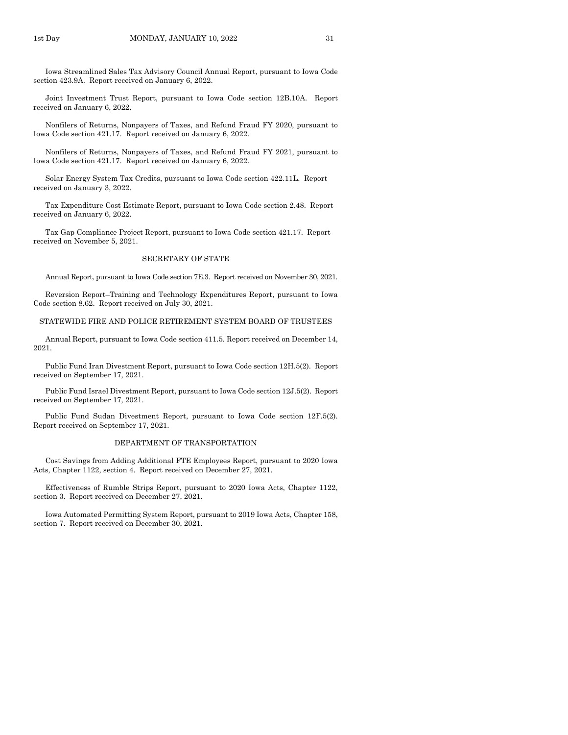Iowa Streamlined Sales Tax Advisory Council Annual Report, pursuant to Iowa Code section 423.9A. Report received on January 6, 2022.

Joint Investment Trust Report, pursuant to Iowa Code section 12B.10A. Report received on January 6, 2022.

Nonfilers of Returns, Nonpayers of Taxes, and Refund Fraud FY 2020, pursuant to Iowa Code section 421.17. Report received on January 6, 2022.

Nonfilers of Returns, Nonpayers of Taxes, and Refund Fraud FY 2021, pursuant to Iowa Code section 421.17. Report received on January 6, 2022.

Solar Energy System Tax Credits, pursuant to Iowa Code section 422.11L. Report received on January 3, 2022.

Tax Expenditure Cost Estimate Report, pursuant to Iowa Code section 2.48. Report received on January 6, 2022.

Tax Gap Compliance Project Report, pursuant to Iowa Code section 421.17. Report received on November 5, 2021.

## SECRETARY OF STATE

Annual Report, pursuant to Iowa Code section 7E.3. Report received on November 30, 2021.

Reversion Report–Training and Technology Expenditures Report, pursuant to Iowa Code section 8.62. Report received on July 30, 2021.

#### STATEWIDE FIRE AND POLICE RETIREMENT SYSTEM BOARD OF TRUSTEES

Annual Report, pursuant to Iowa Code section 411.5. Report received on December 14, 2021.

Public Fund Iran Divestment Report, pursuant to Iowa Code section 12H.5(2). Report received on September 17, 2021.

Public Fund Israel Divestment Report, pursuant to Iowa Code section 12J.5(2). Report received on September 17, 2021.

Public Fund Sudan Divestment Report, pursuant to Iowa Code section 12F.5(2). Report received on September 17, 2021.

#### DEPARTMENT OF TRANSPORTATION

Cost Savings from Adding Additional FTE Employees Report, pursuant to 2020 Iowa Acts, Chapter 1122, section 4. Report received on December 27, 2021.

Effectiveness of Rumble Strips Report, pursuant to 2020 Iowa Acts, Chapter 1122, section 3. Report received on December 27, 2021.

Iowa Automated Permitting System Report, pursuant to 2019 Iowa Acts, Chapter 158, section 7. Report received on December 30, 2021.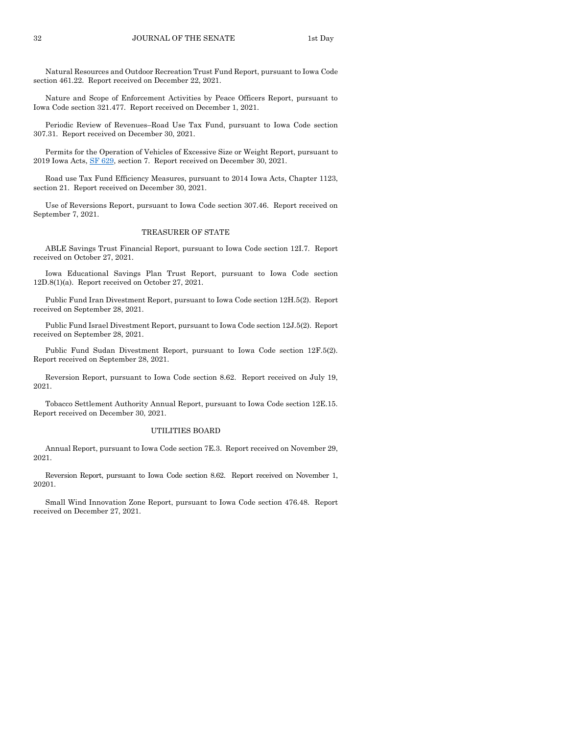Natural Resources and Outdoor Recreation Trust Fund Report, pursuant to Iowa Code section 461.22. Report received on December 22, 2021.

Nature and Scope of Enforcement Activities by Peace Officers Report, pursuant to Iowa Code section 321.477. Report received on December 1, 2021.

Periodic Review of Revenues–Road Use Tax Fund, pursuant to Iowa Code section 307.31. Report received on December 30, 2021.

Permits for the Operation of Vehicles of Excessive Size or Weight Report, pursuant to 2019 Iowa Acts, [SF 629,](https://www.legis.iowa.gov/legislation/BillBook?ga=89&ba=SF629) section 7. Report received on December 30, 2021.

Road use Tax Fund Efficiency Measures, pursuant to 2014 Iowa Acts, Chapter 1123, section 21. Report received on December 30, 2021.

Use of Reversions Report, pursuant to Iowa Code section 307.46. Report received on September 7, 2021.

#### TREASURER OF STATE

ABLE Savings Trust Financial Report, pursuant to Iowa Code section 12I.7. Report received on October 27, 2021.

Iowa Educational Savings Plan Trust Report, pursuant to Iowa Code section 12D.8(1)(a). Report received on October 27, 2021.

Public Fund Iran Divestment Report, pursuant to Iowa Code section 12H.5(2). Report received on September 28, 2021.

Public Fund Israel Divestment Report, pursuant to Iowa Code section 12J.5(2). Report received on September 28, 2021.

Public Fund Sudan Divestment Report, pursuant to Iowa Code section 12F.5(2). Report received on September 28, 2021.

Reversion Report, pursuant to Iowa Code section 8.62. Report received on July 19, 2021.

Tobacco Settlement Authority Annual Report, pursuant to Iowa Code section 12E.15. Report received on December 30, 2021.

#### UTILITIES BOARD

Annual Report, pursuant to Iowa Code section 7E.3. Report received on November 29, 2021.

Reversion Report, pursuant to Iowa Code section 8.62. Report received on November 1, 20201.

Small Wind Innovation Zone Report, pursuant to Iowa Code section 476.48. Report received on December 27, 2021.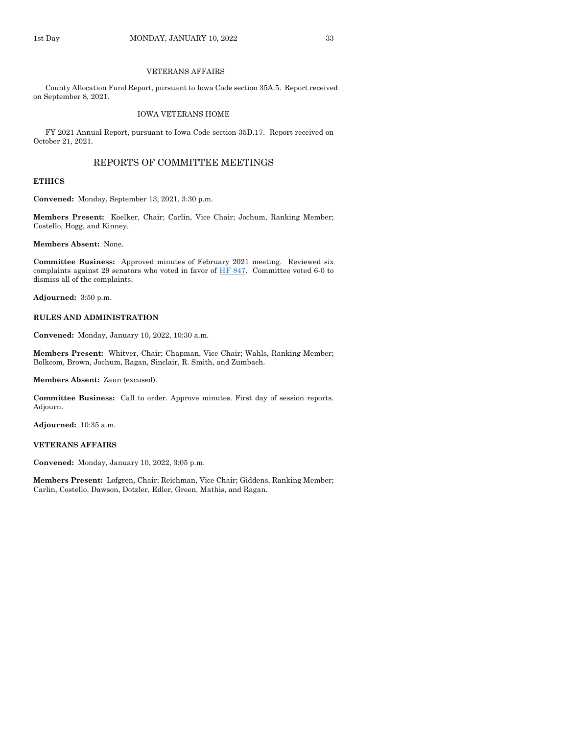#### VETERANS AFFAIRS

County Allocation Fund Report, pursuant to Iowa Code section 35A.5. Report received on September 8, 2021.

#### IOWA VETERANS HOME

FY 2021 Annual Report, pursuant to Iowa Code section 35D.17. Report received on October 21, 2021.

## REPORTS OF COMMITTEE MEETINGS

#### **ETHICS**

**Convened:** Monday, September 13, 2021, 3:30 p.m.

**Members Present:** Koelker, Chair; Carlin, Vice Chair; Jochum, Ranking Member; Costello, Hogg, and Kinney.

**Members Absent:** None.

**Committee Business:** Approved minutes of February 2021 meeting. Reviewed six complaints against 29 senators who voted in favor of  $\overline{HF}$  847. Committee voted 6-0 to dismiss all of the complaints.

**Adjourned:** 3:50 p.m.

#### **RULES AND ADMINISTRATION**

**Convened:** Monday, January 10, 2022, 10:30 a.m.

**Members Present:** Whitver, Chair; Chapman, Vice Chair; Wahls, Ranking Member; Bolkcom, Brown, Jochum, Ragan, Sinclair, R. Smith, and Zumbach.

**Members Absent:** Zaun (excused).

**Committee Business:** Call to order. Approve minutes. First day of session reports. Adjourn.

**Adjourned:** 10:35 a.m.

#### **VETERANS AFFAIRS**

**Convened:** Monday, January 10, 2022, 3:05 p.m.

**Members Present:** Lofgren, Chair; Reichman, Vice Chair; Giddens, Ranking Member; Carlin, Costello, Dawson, Dotzler, Edler, Green, Mathis, and Ragan.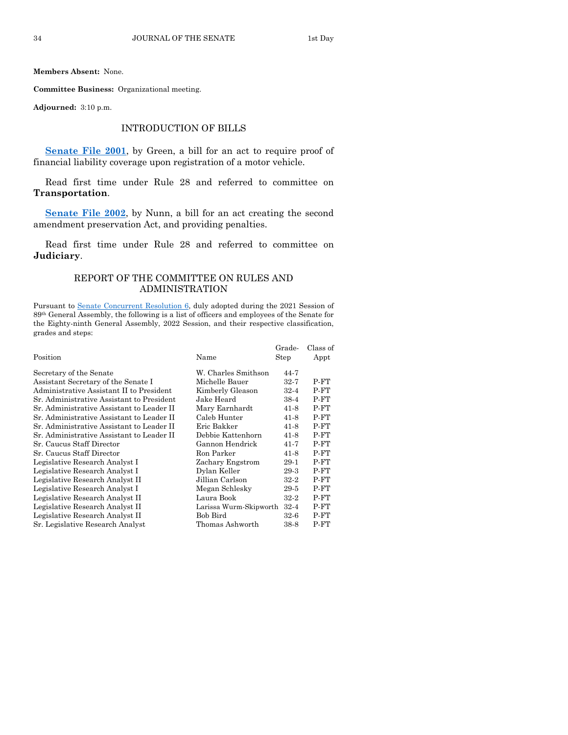**Members Absent:** None.

**Committee Business:** Organizational meeting.

**Adjourned:** 3:10 p.m.

## INTRODUCTION OF BILLS

**[Senate File 2001](https://www.legis.iowa.gov/legislation/BillBook?ga=89&ba=SF2001)**, by Green, a bill for an act to require proof of financial liability coverage upon registration of a motor vehicle.

Read first time under Rule 28 and referred to committee on **Transportation**.

**[Senate File 2002](https://www.legis.iowa.gov/legislation/BillBook?ga=89&ba=SF2002)**, by Nunn, a bill for an act creating the second amendment preservation Act, and providing penalties.

Read first time under Rule 28 and referred to committee on **Judiciary**.

## REPORT OF THE COMMITTEE ON RULES AND ADMINISTRATION

Pursuant to [Senate Concurrent Resolution 6,](https://www.legis.iowa.gov/legislation/BillBook?ga=89&ba=SCR6) duly adopted during the 2021 Session of 89th General Assembly, the following is a list of officers and employees of the Senate for the Eighty-ninth General Assembly, 2022 Session, and their respective classification, grades and steps:

| Position                                  | Name                   | Grade-<br>Step | Class of<br>Appt |
|-------------------------------------------|------------------------|----------------|------------------|
| Secretary of the Senate                   | W. Charles Smithson    | 44-7           |                  |
| Assistant Secretary of the Senate I       | Michelle Bauer         | 32-7           | P-FT             |
| Administrative Assistant II to President  | Kimberly Gleason       | $32 - 4$       | $P-FT$           |
| Sr. Administrative Assistant to President | Jake Heard             | 38-4           | $P-FT$           |
| Sr. Administrative Assistant to Leader II | Mary Earnhardt         | $41-8$         | $P-FT$           |
| Sr. Administrative Assistant to Leader II | Caleb Hunter           | $41-8$         | P-FT             |
| Sr. Administrative Assistant to Leader II | Eric Bakker            | $41 - 8$       | P-FT             |
| Sr. Administrative Assistant to Leader II | Debbie Kattenhorn      | $41-8$         | $P-FT$           |
| Sr. Caucus Staff Director                 | Gannon Hendrick        | $41 - 7$       | $P-FT$           |
| Sr. Caucus Staff Director                 | Ron Parker             | 41-8           | P-FT             |
| Legislative Research Analyst I            | Zachary Engstrom       | 29-1           | P-FT             |
| Legislative Research Analyst I            | Dylan Keller           | 29-3           | P-FT             |
| Legislative Research Analyst II           | Jillian Carlson        | $32 - 2$       | P-FT             |
| Legislative Research Analyst I            | Megan Schlesky         | 29-5           | $P-FT$           |
| Legislative Research Analyst II           | Laura Book             | 32-2           | P-FT             |
| Legislative Research Analyst II           | Larissa Wurm-Skipworth | $32 - 4$       | P-FT             |
| Legislative Research Analyst II           | Bob Bird               | $32-6$         | P-FT             |
| Sr. Legislative Research Analyst          | Thomas Ashworth        | 38-8           | $P-FT$           |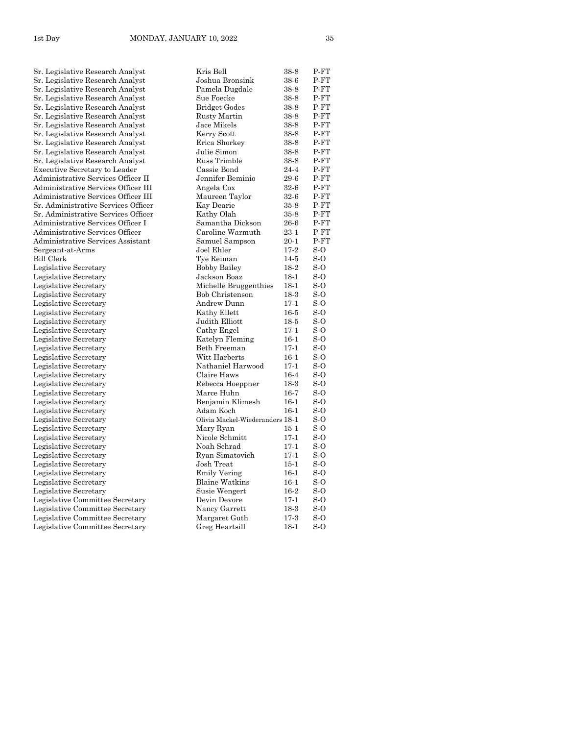| Sr. Legislative Research Analyst     | Kris Bell                       | 38-8     | P-FT   |
|--------------------------------------|---------------------------------|----------|--------|
| Sr. Legislative Research Analyst     | Joshua Bronsink                 | 38-6     | P-FT   |
| Sr. Legislative Research Analyst     | Pamela Dugdale                  | 38-8     | P-FT   |
| Sr. Legislative Research Analyst     | Sue Foecke                      | 38-8     | $P-FT$ |
| Sr. Legislative Research Analyst     | <b>Bridget Godes</b>            | 38-8     | P-FT   |
| Sr. Legislative Research Analyst     | Rusty Martin                    | $38-8$   | P-FT   |
| Sr. Legislative Research Analyst     | Jace Mikels                     | 38-8     | P-FT   |
| Sr. Legislative Research Analyst     | Kerry Scott                     | 38-8     | P-FT   |
| Sr. Legislative Research Analyst     | Erica Shorkey                   | 38-8     | $P-FT$ |
| Sr. Legislative Research Analyst     | Julie Simon                     | 38-8     | P-FT   |
| Sr. Legislative Research Analyst     | Russ Trimble                    | 38-8     | P-FT   |
| <b>Executive Secretary to Leader</b> | Cassie Bond                     | $24 - 4$ | P-FT   |
| Administrative Services Officer II   | Jennifer Beminio                | 29-6     | P-FT   |
| Administrative Services Officer III  | Angela Cox                      | $32-6$   | P-FT   |
| Administrative Services Officer III  | Maureen Taylor                  | $32-6$   | P-FT   |
| Sr. Administrative Services Officer  | Kay Dearie                      | $35 - 8$ | P-FT   |
| Sr. Administrative Services Officer  | Kathy Olah                      | $35-8$   | $P-FT$ |
| Administrative Services Officer I    | Samantha Dickson                | 26-6     | P-FT   |
| Administrative Services Officer      | Caroline Warmuth                | $23 - 1$ | P-FT   |
| Administrative Services Assistant    | Samuel Sampson                  | $20 - 1$ | $P-FT$ |
| Sergeant-at-Arms                     | Joel Ehler                      | $17-2$   | $S-O$  |
| Bill Clerk                           | Tye Reiman                      | $14-5$   | $S-O$  |
| Legislative Secretary                | <b>Bobby Bailey</b>             | 18-2     | $S-O$  |
| Legislative Secretary                | Jackson Boaz                    | $18-1$   | $S-O$  |
| Legislative Secretary                | Michelle Bruggenthies           | $18-1$   | $S-0$  |
| Legislative Secretary                | Bob Christenson                 | $18-3$   | $S-O$  |
| Legislative Secretary                | Andrew Dunn                     | $17-1$   | $S-O$  |
| Legislative Secretary                | Kathy Ellett                    | $16-5$   | S-O    |
| Legislative Secretary                | Judith Elliott                  | $18-5$   | $S-O$  |
| Legislative Secretary                | Cathy Engel                     | $17-1$   | S-O    |
| Legislative Secretary                | Katelyn Fleming                 | $16-1$   | S-O    |
| Legislative Secretary                | Beth Freeman                    | $17-1$   | $S-O$  |
| Legislative Secretary                | Witt Harberts                   | $16-1$   | $S-0$  |
| Legislative Secretary                | Nathaniel Harwood               | $17-1$   | $S-O$  |
| Legislative Secretary                | Claire Haws                     | $16-4$   | $S-O$  |
| Legislative Secretary                | Rebecca Hoeppner                | $18-3$   | $S-0$  |
| Legislative Secretary                | Marce Huhn                      | $16-7$   | $S-O$  |
| Legislative Secretary                | Benjamin Klimesh                | $16-1$   | S-O    |
| Legislative Secretary                | Adam Koch                       | $16-1$   | S-O    |
| Legislative Secretary                | Olivia Mackel-Wiederanders 18-1 |          | $S-O$  |
| Legislative Secretary                | Mary Ryan                       | $15 - 1$ | $S-O$  |
| Legislative Secretary                | Nicole Schmitt                  | $17-1$   | S-O    |
| Legislative Secretary                | Noah Schrad                     | $17-1$   | $S-O$  |
| Legislative Secretary                | Ryan Simatovich                 | $17-1$   | $S-0$  |
| Legislative Secretary                | Josh Treat                      | $15-1$   | $S-O$  |
| Legislative Secretary                | <b>Emily Vering</b>             | $16-1$   | $S-O$  |
| Legislative Secretary                | <b>Blaine Watkins</b>           | $16-1$   | S-O    |
| Legislative Secretary                | Susie Wengert                   | $16-2$   | $S-O$  |
| Legislative Committee Secretary      | Devin Devore                    | $17-1$   | $S-O$  |
| Legislative Committee Secretary      | Nancy Garrett                   | $18-3$   | S-O    |
| Legislative Committee Secretary      | Margaret Guth                   | $17-3$   | $S-O$  |
|                                      |                                 |          | $S-O$  |
| Legislative Committee Secretary      | Greg Heartsill                  | $18-1$   |        |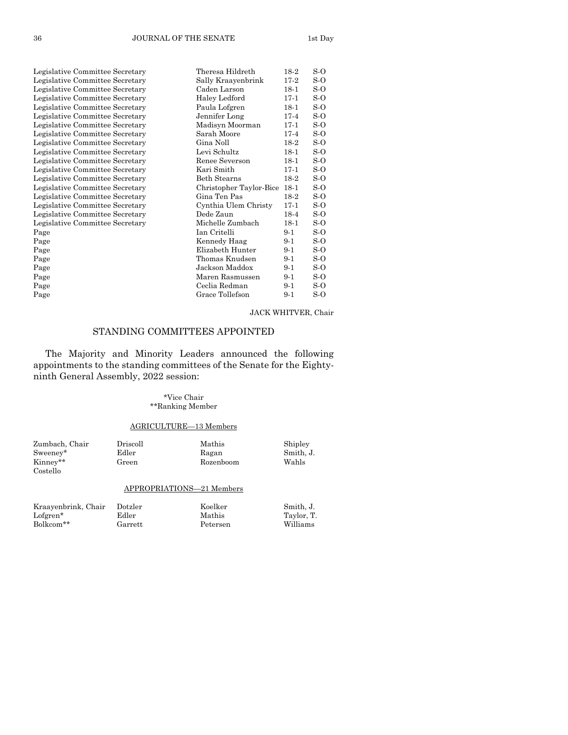| Legislative Committee Secretary | Theresa Hildreth        | 18-2   | S-O   |
|---------------------------------|-------------------------|--------|-------|
| Legislative Committee Secretary | Sally Kraayenbrink      | $17-2$ | S-O   |
| Legislative Committee Secretary | Caden Larson            | $18-1$ | S-O   |
| Legislative Committee Secretary | Haley Ledford           | $17-1$ | S-O   |
| Legislative Committee Secretary | Paula Lofgren           | $18-1$ | S-O   |
| Legislative Committee Secretary | Jennifer Long           | $17-4$ | S-O   |
| Legislative Committee Secretary | Madisyn Moorman         | $17-1$ | $S-O$ |
| Legislative Committee Secretary | Sarah Moore             | $17-4$ | S-O   |
| Legislative Committee Secretary | Gina Noll               | 18-2   | S-O   |
| Legislative Committee Secretary | Levi Schultz            | $18-1$ | S-O   |
| Legislative Committee Secretary | Renee Severson          | $18-1$ | S-O   |
| Legislative Committee Secretary | Kari Smith              | $17-1$ | S-O   |
| Legislative Committee Secretary | Beth Stearns            | 18-2   | S-O   |
| Legislative Committee Secretary | Christopher Taylor-Bice | $18-1$ | $S-O$ |
| Legislative Committee Secretary | Gina Ten Pas            | 18-2   | S-O   |
| Legislative Committee Secretary | Cynthia Ulem Christy    | $17-1$ | S-O   |
| Legislative Committee Secretary | Dede Zaun               | 18-4   | S-O   |
| Legislative Committee Secretary | Michelle Zumbach        | $18-1$ | S-O   |
| Page                            | Ian Critelli            | $9-1$  | $S-O$ |
| Page                            | Kennedy Haag            | $9-1$  | S-O   |
| Page                            | Elizabeth Hunter        | $9-1$  | S-O   |
| Page                            | Thomas Knudsen          | $9-1$  | S-O   |
| Page                            | Jackson Maddox          | $9-1$  | S-O   |
| Page                            | Maren Rasmussen         | $9-1$  | $S-O$ |
| Page                            | Ceclia Redman           | $9-1$  | S-O   |
| Page                            | Grace Tollefson         | $9-1$  | S-O   |
|                                 |                         |        |       |

## JACK WHITVER, Chair

## STANDING COMMITTEES APPOINTED

The Majority and Minority Leaders announced the following appointments to the standing committees of the Senate for the Eightyninth General Assembly, 2022 session:

## \*Vice Chair \*\*Ranking Member

## AGRICULTURE—13 Members

| Zumbach, Chair<br>Sweeney*<br>Kinney**<br>Costello | Driscoll<br>Edler<br>Green | Mathis<br>Ragan<br>Rozenboom | Shipley<br>Smith, J.<br>Wahls |
|----------------------------------------------------|----------------------------|------------------------------|-------------------------------|
|                                                    | APPROPRIATIONS-21 Members  |                              |                               |
| Kraayenbrink, Chair<br>$Lofgren*$                  | Dotzler<br>Edler           | Koelker<br>Mathis            | Smith, J.<br>Taylor, T.       |

Bolkcom\*\* Garrett Petersen Williams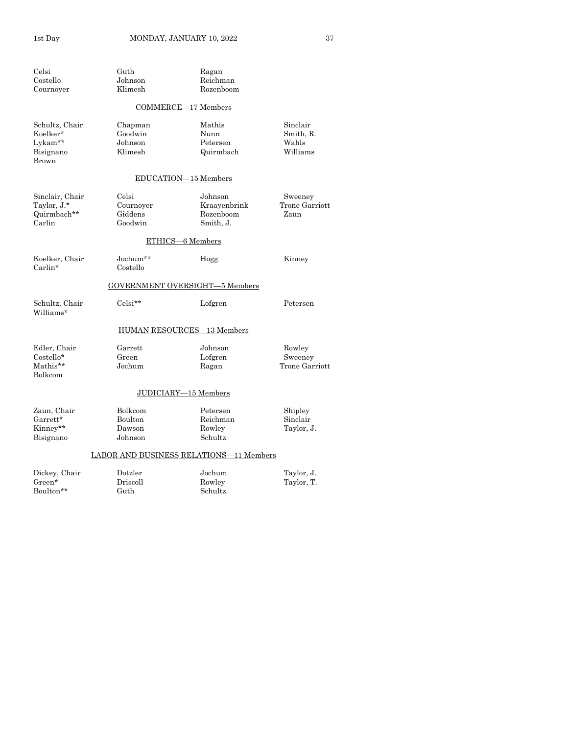| $\operatorname{Celsi}$<br>Costello | Guth<br>Johnson    | Ragan<br>Reichman                       |                   |
|------------------------------------|--------------------|-----------------------------------------|-------------------|
| Cournoyer                          | Klimesh            | Rozenboom                               |                   |
|                                    |                    | <b>COMMERCE-17 Members</b>              |                   |
| Schultz, Chair                     | Chapman            | Mathis                                  | Sinclair          |
| Koelker*                           | Goodwin            | Nunn                                    | Smith, R.         |
| Lykam**<br>Bisignano<br>Brown      | Johnson<br>Klimesh | Petersen<br>Quirmbach                   | Wahls<br>Williams |
|                                    |                    | EDUCATION-15 Members                    |                   |
| Sinclair, Chair                    | Celsi              | Johnson                                 | Sweeney           |
| Taylor, J.*                        | Cournoyer          | Kraayenbrink                            | Trone Garriott    |
| Quirmbach**<br>Carlin              | Giddens<br>Goodwin | Rozenboom<br>Smith, J.                  | Zaun              |
|                                    |                    | ETHICS-6 Members                        |                   |
| Koelker, Chair                     | Jochum**           | Hogg                                    | Kinney            |
| Carlin*                            | Costello           |                                         |                   |
|                                    |                    | <b>GOVERNMENT OVERSIGHT-5 Members</b>   |                   |
| Schultz, Chair<br>Williams*        | $Celsi**$          | Lofgren                                 | Petersen          |
|                                    |                    | <b>HUMAN RESOURCES-13 Members</b>       |                   |
| Edler, Chair                       | Garrett            | Johnson                                 | Rowley            |
| Costello*                          | Green              | Lofgren                                 | Sweeney           |
| Mathis**<br>Bolkcom                | Jochum             | Ragan                                   | Trone Garriott    |
|                                    |                    | JUDICIARY-15 Members                    |                   |
| Zaun, Chair                        | Bolkcom            | Petersen                                | Shipley           |
| $Garrett*$                         | Boulton            | Reichman                                | Sinclair          |
| Kinney**                           | Dawson             | Rowley                                  | Taylor, J.        |
| Bisignano                          | Johnson            | Schultz                                 |                   |
|                                    |                    | LABOR AND BUSINESS RELATIONS-11 Members |                   |
| Dickey, Chair                      | Dotzler            | Jochum                                  | Taylor, J.        |
| $Green*$                           | Driscoll           | Rowley                                  | Taylor, T.        |
| Boulton**                          | Guth               | Schultz                                 |                   |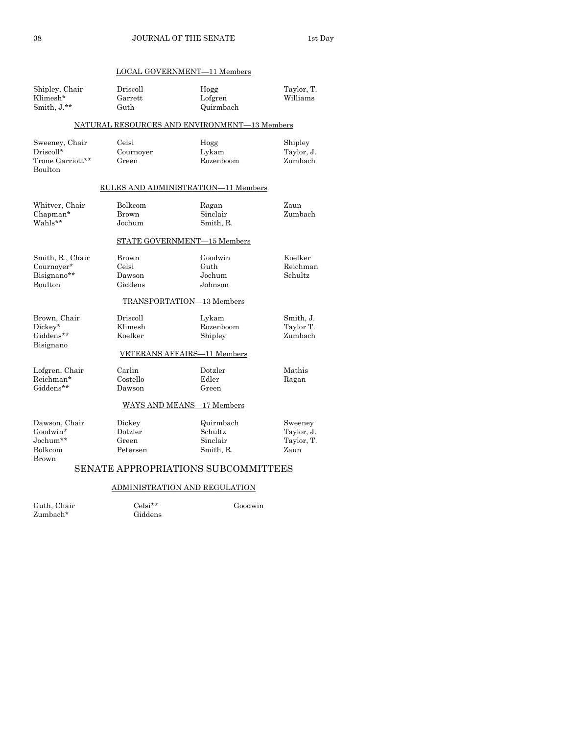| LOCAL GOVERNMENT-11 Members                                       |                                                                               |                                               |                                             |
|-------------------------------------------------------------------|-------------------------------------------------------------------------------|-----------------------------------------------|---------------------------------------------|
| Shipley, Chair<br>Klimesh*<br>Smith, J.**                         | Driscoll<br>Garrett<br>Guth                                                   | Hogg<br>Lofgren<br>Quirmbach                  | Taylor, T.<br>Williams                      |
|                                                                   | NATURAL RESOURCES AND ENVIRONMENT-13 Members                                  |                                               |                                             |
| Sweeney, Chair<br>Driscoll*<br>Trone Garriott**<br><b>Boulton</b> | Celsi<br>Cournoyer<br>Green                                                   | Hogg<br>Lykam<br>Rozenboom                    | Shipley<br>Taylor, J.<br>Zumbach            |
| RULES AND ADMINISTRATION—11 Members                               |                                                                               |                                               |                                             |
| Whitver, Chair<br>Chapman*<br>Wahls**                             | Bolkcom<br><b>Brown</b><br>Jochum                                             | Ragan<br>Sinclair<br>Smith, R.                | Zaun<br>Zumbach                             |
|                                                                   | STATE GOVERNMENT-15 Members                                                   |                                               |                                             |
| Smith, R., Chair<br>Cournoyer*<br>Bisignano**<br><b>Boulton</b>   | Brown<br>Celsi<br>Dawson<br>Giddens                                           | Goodwin<br>Guth<br>Jochum<br>Johnson          | Koelker<br>Reichman<br>Schultz              |
|                                                                   | TRANSPORTATION-13 Members                                                     |                                               |                                             |
| Brown, Chair<br>Dickey*<br>Giddens**<br>Bisignano                 | Driscoll<br>Klimesh<br>Koelker<br>VETERANS AFFAIRS-11 Members                 | Lykam<br>Rozenboom<br>Shipley                 | Smith, J.<br>Taylor T.<br>Zumbach           |
| Lofgren, Chair<br>Reichman*<br>Giddens**                          | Carlin<br>Costello<br>Dawson<br>WAYS AND MEANS-17 Members                     | Dotzler<br>Edler<br>Green                     | Mathis<br>Ragan                             |
|                                                                   |                                                                               |                                               |                                             |
| Dawson, Chair<br>Goodwin*<br>Jochum**<br>Bolkcom<br>Brown         | Dickey<br>Dotzler<br>Green<br>Petersen<br>SENATE APPROPRIATIONS SUBCOMMITTEES | Quirmbach<br>Schultz<br>Sinclair<br>Smith, R. | Sweeney<br>Taylor, J.<br>Taylor, T.<br>Zaun |
| <b>ADMINISTRATION AND REGULATION</b>                              |                                                                               |                                               |                                             |
|                                                                   |                                                                               |                                               |                                             |

Guth, Chair Celsi\*\* Goodwin

Zumbach\* Giddens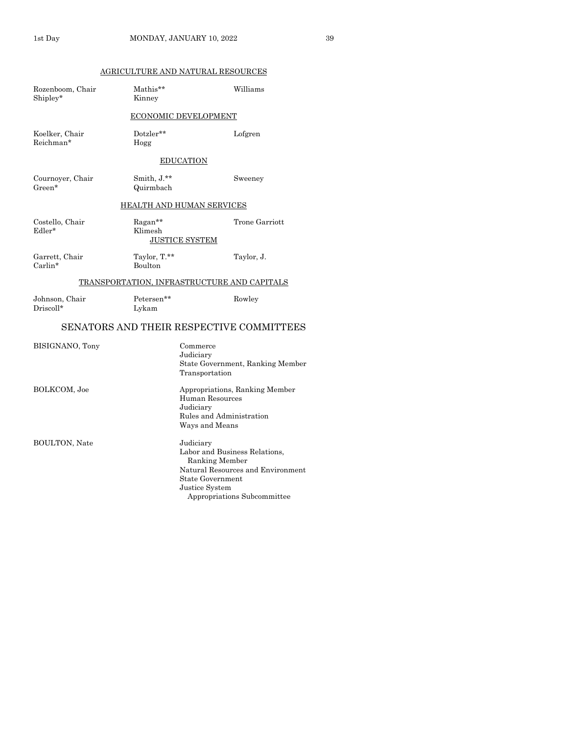## AGRICULTURE AND NATURAL RESOURCES

| Rozenboom, Chair<br>Shipley* | Mathis**<br>Kinney       | Williams                                                                                                                                                               |
|------------------------------|--------------------------|------------------------------------------------------------------------------------------------------------------------------------------------------------------------|
|                              |                          | <b>ECONOMIC DEVELOPMENT</b>                                                                                                                                            |
| Koelker, Chair<br>Reichman*  | Dotzler**<br>Hogg        | Lofgren                                                                                                                                                                |
|                              |                          | EDUCATION                                                                                                                                                              |
| Cournoyer, Chair<br>Green*   | Smith, J.**<br>Quirmbach | Sweeney                                                                                                                                                                |
|                              |                          | <u>HEALTH AND HUMAN SERVICES</u>                                                                                                                                       |
| Costello, Chair<br>Edler*    | Ragan**<br>Klimesh       | Trone Garriott<br><b>JUSTICE SYSTEM</b>                                                                                                                                |
| Garrett, Chair<br>$Carlin*$  | Taylor, T.**<br>Boulton  | Taylor, J.                                                                                                                                                             |
|                              |                          | <b>TRANSPORTATION, INFRASTRUCTURE AND CAPITALS</b>                                                                                                                     |
| Johnson, Chair<br>Driscoll*  | Petersen**<br>Lykam      | Rowley                                                                                                                                                                 |
|                              |                          | SENATORS AND THEIR RESPECTIVE COMMITTEES                                                                                                                               |
| BISIGNANO, Tony              |                          | Commerce<br>Judiciary<br>State Government, Ranking Member<br>Transportation                                                                                            |
| BOLKCOM, Joe                 |                          | Appropriations, Ranking Member<br>Human Resources<br>Judiciary<br>Rules and Administration<br>Ways and Means                                                           |
| <b>BOULTON, Nate</b>         |                          | Judiciary<br>Labor and Business Relations,<br>Ranking Member<br>Natural Resources and Environment<br>State Government<br>Justice System<br>Appropriations Subcommittee |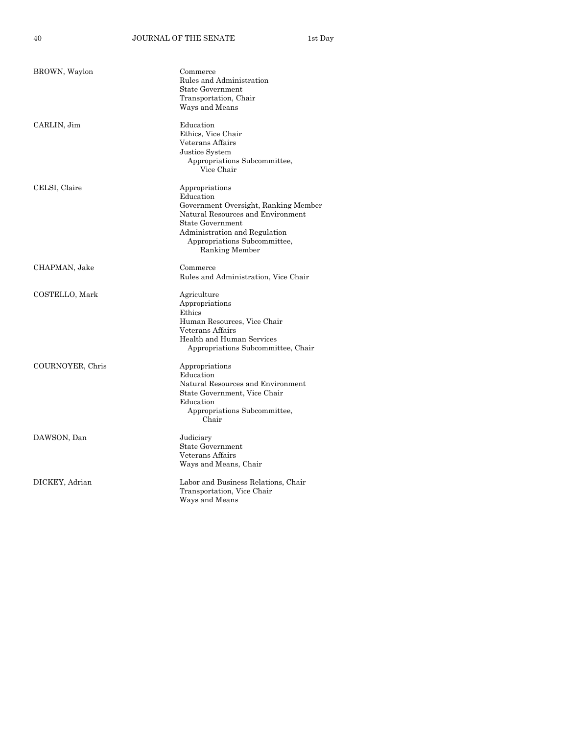40 JOURNAL OF THE SENATE 1st Day

| BROWN, Waylon    | Commerce<br>Rules and Administration<br><b>State Government</b><br>Transportation, Chair                                                                                                                               |
|------------------|------------------------------------------------------------------------------------------------------------------------------------------------------------------------------------------------------------------------|
|                  | Ways and Means                                                                                                                                                                                                         |
| CARLIN, Jim      | Education<br>Ethics. Vice Chair<br>Veterans Affairs<br>Justice System<br>Appropriations Subcommittee,<br>Vice Chair                                                                                                    |
| CELSI, Claire    | Appropriations<br>Education<br>Government Oversight, Ranking Member<br>Natural Resources and Environment<br><b>State Government</b><br>Administration and Regulation<br>Appropriations Subcommittee,<br>Ranking Member |
| CHAPMAN, Jake    | Commerce<br>Rules and Administration, Vice Chair                                                                                                                                                                       |
| COSTELLO, Mark   | Agriculture<br>Appropriations<br>Ethics<br>Human Resources, Vice Chair<br>Veterans Affairs<br>Health and Human Services<br>Appropriations Subcommittee, Chair                                                          |
| COURNOYER, Chris | Appropriations<br>Education<br>Natural Resources and Environment<br>State Government, Vice Chair<br>Education<br>Appropriations Subcommittee,<br>Chair                                                                 |
| DAWSON, Dan      | Judiciary<br><b>State Government</b><br>Veterans Affairs<br>Ways and Means, Chair                                                                                                                                      |
| DICKEY, Adrian   | Labor and Business Relations, Chair<br>Transportation, Vice Chair<br>Ways and Means                                                                                                                                    |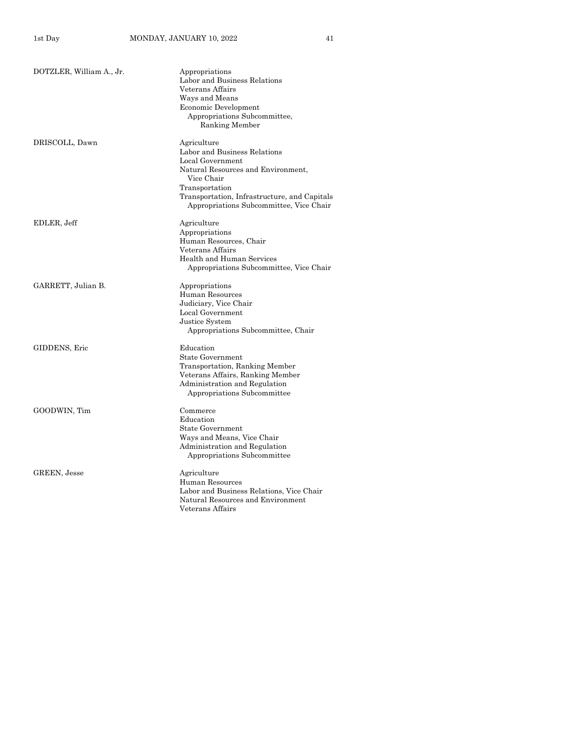| DOTZLER, William A., Jr. | Appropriations<br>Labor and Business Relations<br>Veterans Affairs<br>Ways and Means<br>Economic Development<br>Appropriations Subcommittee,<br>Ranking Member                                                                   |
|--------------------------|----------------------------------------------------------------------------------------------------------------------------------------------------------------------------------------------------------------------------------|
| DRISCOLL, Dawn           | Agriculture<br>Labor and Business Relations<br>Local Government<br>Natural Resources and Environment,<br>Vice Chair<br>Transportation<br>Transportation, Infrastructure, and Capitals<br>Appropriations Subcommittee, Vice Chair |
| EDLER, Jeff              | Agriculture<br>Appropriations<br>Human Resources, Chair<br>Veterans Affairs<br>Health and Human Services<br>Appropriations Subcommittee, Vice Chair                                                                              |
| GARRETT, Julian B.       | Appropriations<br>Human Resources<br>Judiciary, Vice Chair<br>Local Government<br>Justice System<br>Appropriations Subcommittee, Chair                                                                                           |
| GIDDENS, Eric            | Education<br><b>State Government</b><br>Transportation, Ranking Member<br>Veterans Affairs, Ranking Member<br>Administration and Regulation<br>Appropriations Subcommittee                                                       |
| GOODWIN, Tim             | Commerce<br>Education<br><b>State Government</b><br>Ways and Means, Vice Chair<br>Administration and Regulation<br>Appropriations Subcommittee                                                                                   |
| <b>GREEN, Jesse</b>      | Agriculture<br>Human Resources<br>Labor and Business Relations, Vice Chair<br>Natural Resources and Environment<br>Veterans Affairs                                                                                              |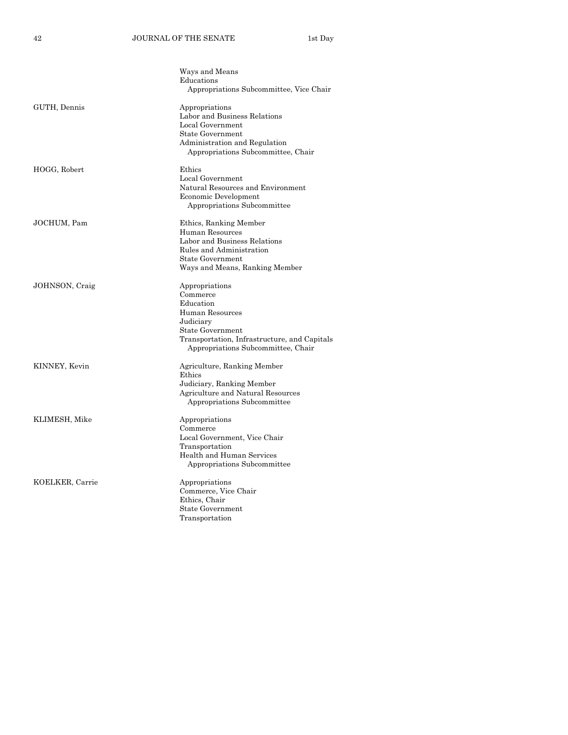|                 | Ways and Means                                                                     |
|-----------------|------------------------------------------------------------------------------------|
|                 | Educations                                                                         |
|                 | Appropriations Subcommittee, Vice Chair                                            |
| GUTH, Dennis    | Appropriations                                                                     |
|                 | Labor and Business Relations                                                       |
|                 | Local Government                                                                   |
|                 | <b>State Government</b>                                                            |
|                 | Administration and Regulation                                                      |
|                 | Appropriations Subcommittee, Chair                                                 |
| HOGG, Robert    | Ethics                                                                             |
|                 | Local Government                                                                   |
|                 | Natural Resources and Environment                                                  |
|                 | Economic Development                                                               |
|                 | Appropriations Subcommittee                                                        |
| JOCHUM, Pam     | Ethics, Ranking Member                                                             |
|                 | Human Resources                                                                    |
|                 | Labor and Business Relations                                                       |
|                 | Rules and Administration                                                           |
|                 | State Government                                                                   |
|                 | Ways and Means, Ranking Member                                                     |
| JOHNSON, Craig  | Appropriations                                                                     |
|                 | Commerce                                                                           |
|                 | Education                                                                          |
|                 | Human Resources                                                                    |
|                 | Judiciary                                                                          |
|                 | <b>State Government</b>                                                            |
|                 | Transportation, Infrastructure, and Capitals<br>Appropriations Subcommittee, Chair |
| KINNEY, Kevin   | Agriculture, Ranking Member                                                        |
|                 | Ethics                                                                             |
|                 | Judiciary, Ranking Member                                                          |
|                 | Agriculture and Natural Resources                                                  |
|                 | Appropriations Subcommittee                                                        |
| KLIMESH, Mike   | Appropriations                                                                     |
|                 | Commerce                                                                           |
|                 | Local Government, Vice Chair                                                       |
|                 | Transportation                                                                     |
|                 | Health and Human Services                                                          |
|                 | Appropriations Subcommittee                                                        |
| KOELKER, Carrie | Appropriations                                                                     |
|                 | Commerce, Vice Chair                                                               |
|                 | Ethics, Chair                                                                      |
|                 | <b>State Government</b>                                                            |
|                 | Transportation                                                                     |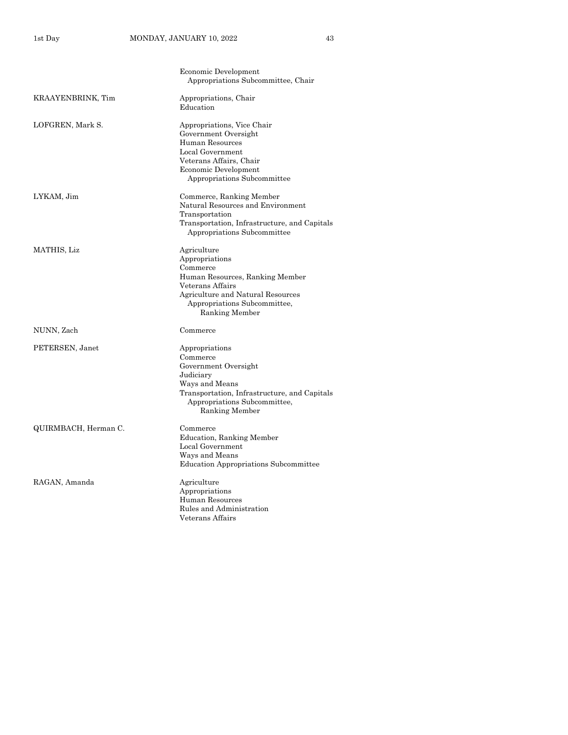|                      | Economic Development<br>Appropriations Subcommittee, Chair                                                                                                                              |
|----------------------|-----------------------------------------------------------------------------------------------------------------------------------------------------------------------------------------|
| KRAAYENBRINK, Tim    | Appropriations, Chair<br>Education                                                                                                                                                      |
| LOFGREN, Mark S.     | Appropriations, Vice Chair<br>Government Oversight<br>Human Resources<br>Local Government<br>Veterans Affairs, Chair<br>Economic Development<br>Appropriations Subcommittee             |
| LYKAM, Jim           | Commerce, Ranking Member<br>Natural Resources and Environment<br>Transportation<br>Transportation, Infrastructure, and Capitals<br>Appropriations Subcommittee                          |
| MATHIS, Liz          | Agriculture<br>Appropriations<br>Commerce<br>Human Resources, Ranking Member<br>Veterans Affairs<br>Agriculture and Natural Resources<br>Appropriations Subcommittee,<br>Ranking Member |
| NUNN, Zach           | Commerce                                                                                                                                                                                |
| PETERSEN, Janet      | Appropriations<br>Commerce<br>Government Oversight<br>Judiciary<br>Ways and Means<br>Transportation, Infrastructure, and Capitals<br>Appropriations Subcommittee,<br>Ranking Member     |
| QUIRMBACH, Herman C. | Commerce<br>Education, Ranking Member<br>Local Government<br>Ways and Means<br><b>Education Appropriations Subcommittee</b>                                                             |
| RAGAN, Amanda        | Agriculture<br>Appropriations<br>Human Resources<br>Rules and Administration<br>Veterans Affairs                                                                                        |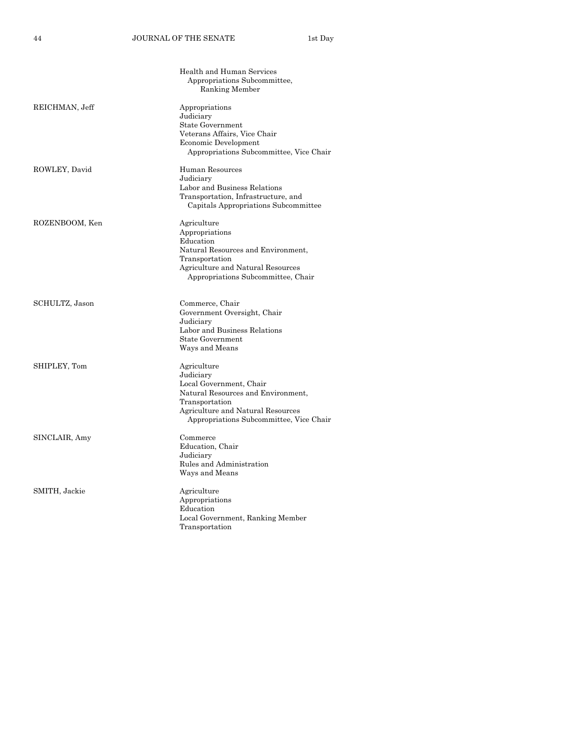|                | Health and Human Services<br>Appropriations Subcommittee,<br>Ranking Member                                                                                                                 |
|----------------|---------------------------------------------------------------------------------------------------------------------------------------------------------------------------------------------|
| REICHMAN, Jeff | Appropriations<br>Judiciary<br><b>State Government</b><br>Veterans Affairs, Vice Chair<br>Economic Development<br>Appropriations Subcommittee, Vice Chair                                   |
| ROWLEY, David  | Human Resources<br>Judiciary<br>Labor and Business Relations<br>Transportation, Infrastructure, and<br>Capitals Appropriations Subcommittee                                                 |
| ROZENBOOM, Ken | Agriculture<br>Appropriations<br>Education<br>Natural Resources and Environment,<br>Transportation<br>Agriculture and Natural Resources<br>Appropriations Subcommittee, Chair               |
| SCHULTZ, Jason | Commerce, Chair<br>Government Oversight, Chair<br>Judiciary<br>Labor and Business Relations<br><b>State Government</b><br>Ways and Means                                                    |
| SHIPLEY, Tom   | Agriculture<br>Judiciary<br>Local Government, Chair<br>Natural Resources and Environment,<br>Transportation<br>Agriculture and Natural Resources<br>Appropriations Subcommittee, Vice Chair |
| SINCLAIR, Amy  | Commerce<br>Education, Chair<br>Judiciary<br>Rules and Administration<br>Ways and Means                                                                                                     |
| SMITH, Jackie  | Agriculture<br>Appropriations<br>Education<br>Local Government, Ranking Member<br>Transportation                                                                                            |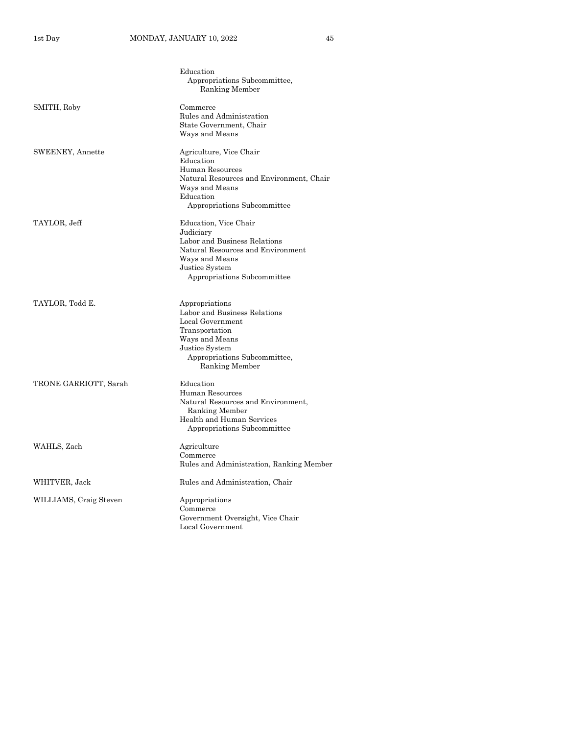|                        | Education<br>Appropriations Subcommittee,<br>Ranking Member                                                                                                                |
|------------------------|----------------------------------------------------------------------------------------------------------------------------------------------------------------------------|
| SMITH, Roby            | Commerce<br>Rules and Administration<br>State Government, Chair<br>Ways and Means                                                                                          |
| SWEENEY, Annette       | Agriculture, Vice Chair<br>Education<br>Human Resources<br>Natural Resources and Environment, Chair<br>Ways and Means<br>Education<br>Appropriations Subcommittee          |
| TAYLOR, Jeff           | Education, Vice Chair<br>Judiciary<br>Labor and Business Relations<br>Natural Resources and Environment<br>Ways and Means<br>Justice System<br>Appropriations Subcommittee |
| TAYLOR, Todd E.        | Appropriations<br>Labor and Business Relations<br>Local Government<br>Transportation<br>Ways and Means<br>Justice System<br>Appropriations Subcommittee,<br>Ranking Member |
| TRONE GARRIOTT, Sarah  | Education<br>Human Resources<br>Natural Resources and Environment,<br>Ranking Member<br>Health and Human Services<br>Appropriations Subcommittee                           |
| WAHLS, Zach            | Agriculture<br>Commerce<br>Rules and Administration, Ranking Member                                                                                                        |
| WHITVER, Jack          | Rules and Administration, Chair                                                                                                                                            |
| WILLIAMS, Craig Steven | Appropriations<br>Commerce<br>Government Oversight, Vice Chair<br>Local Government                                                                                         |